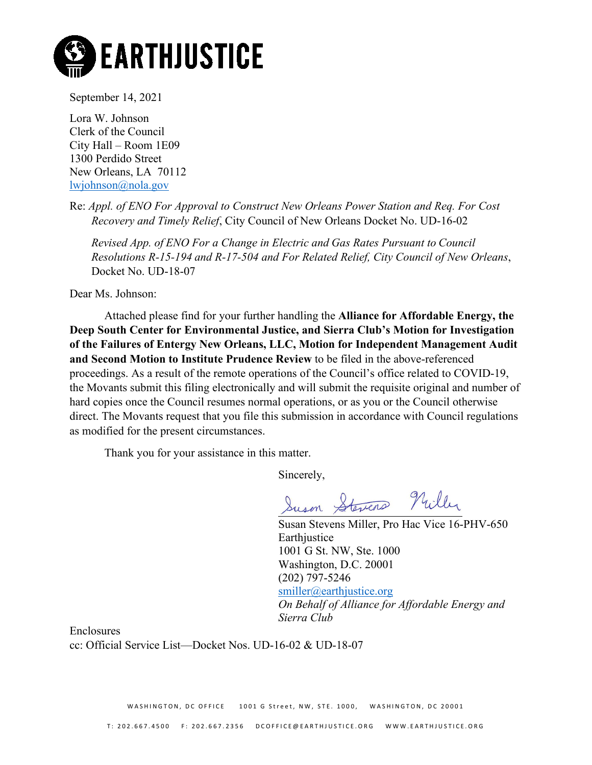

September 14, 2021

Lora W. Johnson Clerk of the Council City Hall – Room 1E09 1300 Perdido Street New Orleans, LA 70112 [lwjohnson@nola.gov](mailto:lwjohnson@nola.gov)

Re: *Appl. of ENO For Approval to Construct New Orleans Power Station and Req. For Cost Recovery and Timely Relief*, City Council of New Orleans Docket No. UD-16-02

*Revised App. of ENO For a Change in Electric and Gas Rates Pursuant to Council Resolutions R-15-194 and R-17-504 and For Related Relief, City Council of New Orleans*, Docket No. UD-18-07

Dear Ms. Johnson:

Attached please find for your further handling the **Alliance for Affordable Energy, the Deep South Center for Environmental Justice, and Sierra Club's Motion for Investigation of the Failures of Entergy New Orleans, LLC, Motion for Independent Management Audit and Second Motion to Institute Prudence Review** to be filed in the above-referenced proceedings. As a result of the remote operations of the Council's office related to COVID-19, the Movants submit this filing electronically and will submit the requisite original and number of hard copies once the Council resumes normal operations, or as you or the Council otherwise direct. The Movants request that you file this submission in accordance with Council regulations as modified for the present circumstances.

Thank you for your assistance in this matter.

Sincerely,

Suson Stevens Nuller

Susan Stevens Miller, Pro Hac Vice 16-PHV-650 **Earthjustice** 1001 G St. NW, Ste. 1000 Washington, D.C. 20001 (202) 797-5246 [smiller@earthjustice.org](mailto:smiller@earthjustice.org) *On Behalf of Alliance for Affordable Energy and Sierra Club*

Enclosures cc: Official Service List—Docket Nos. UD-16-02 & UD-18-07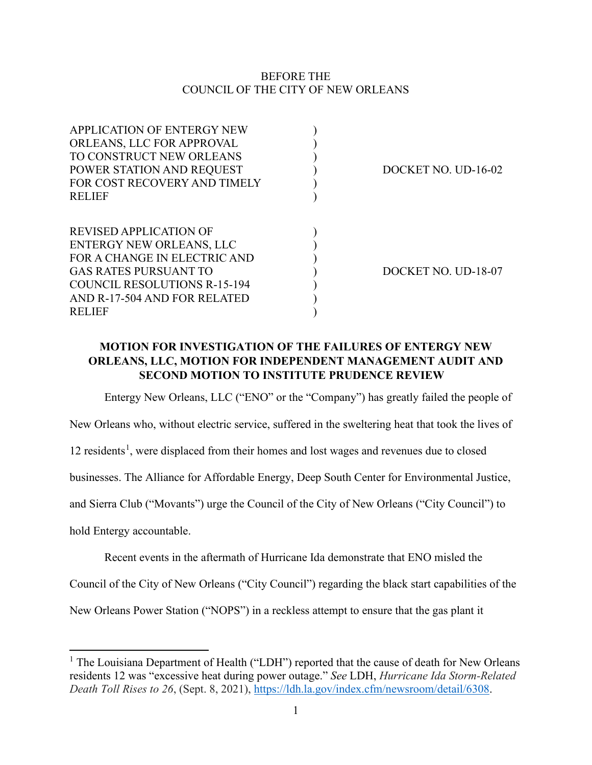### BEFORE THE COUNCIL OF THE CITY OF NEW ORLEANS

| DOCKET NO. UD-16-02 |
|---------------------|
|                     |
|                     |
|                     |
|                     |
|                     |
|                     |
| DOCKET NO. UD-18-07 |
|                     |
|                     |
|                     |
|                     |

# **MOTION FOR INVESTIGATION OF THE FAILURES OF ENTERGY NEW ORLEANS, LLC, MOTION FOR INDEPENDENT MANAGEMENT AUDIT AND SECOND MOTION TO INSTITUTE PRUDENCE REVIEW**

Entergy New Orleans, LLC ("ENO" or the "Company") has greatly failed the people of

New Orleans who, without electric service, suffered in the sweltering heat that took the lives of

[1](#page-1-0)2 residents<sup>1</sup>, were displaced from their homes and lost wages and revenues due to closed

businesses. The Alliance for Affordable Energy, Deep South Center for Environmental Justice,

and Sierra Club ("Movants") urge the Council of the City of New Orleans ("City Council") to

hold Entergy accountable.

Recent events in the aftermath of Hurricane Ida demonstrate that ENO misled the

Council of the City of New Orleans ("City Council") regarding the black start capabilities of the

New Orleans Power Station ("NOPS") in a reckless attempt to ensure that the gas plant it

<span id="page-1-0"></span><sup>&</sup>lt;sup>1</sup> The Louisiana Department of Health ("LDH") reported that the cause of death for New Orleans residents 12 was "excessive heat during power outage." *See* LDH, *Hurricane Ida Storm-Related Death Toll Rises to 26*, (Sept. 8, 2021), [https://ldh.la.gov/index.cfm/newsroom/detail/6308.](https://ldh.la.gov/index.cfm/newsroom/detail/6308)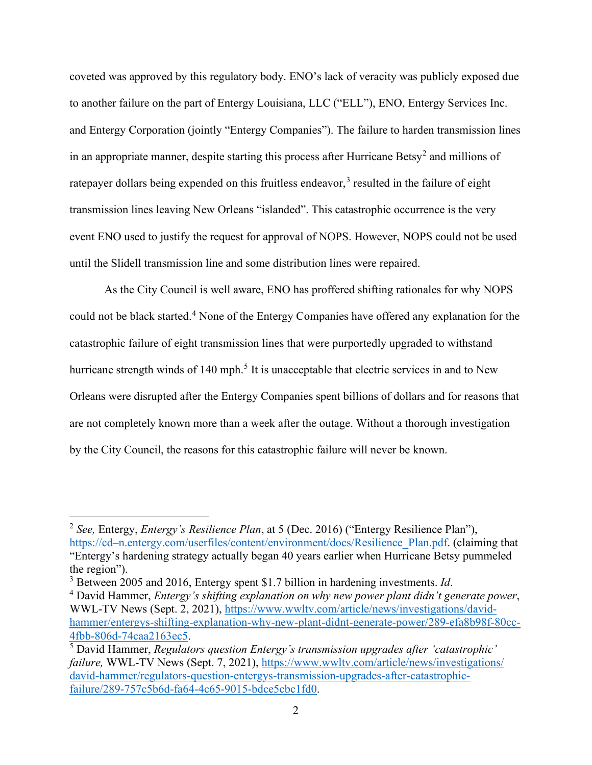coveted was approved by this regulatory body. ENO's lack of veracity was publicly exposed due to another failure on the part of Entergy Louisiana, LLC ("ELL"), ENO, Entergy Services Inc. and Entergy Corporation (jointly "Entergy Companies"). The failure to harden transmission lines in an appropriate manner, despite starting this process after Hurricane Betsy<sup>[2](#page-2-0)</sup> and millions of ratepayer dollars being expended on this fruitless endeavor,<sup>[3](#page-2-1)</sup> resulted in the failure of eight transmission lines leaving New Orleans "islanded". This catastrophic occurrence is the very event ENO used to justify the request for approval of NOPS. However, NOPS could not be used until the Slidell transmission line and some distribution lines were repaired.

As the City Council is well aware, ENO has proffered shifting rationales for why NOPS could not be black started.<sup>[4](#page-2-2)</sup> None of the Entergy Companies have offered any explanation for the catastrophic failure of eight transmission lines that were purportedly upgraded to withstand hurricane strength winds of 140 mph.<sup>[5](#page-2-3)</sup> It is unacceptable that electric services in and to New Orleans were disrupted after the Entergy Companies spent billions of dollars and for reasons that are not completely known more than a week after the outage. Without a thorough investigation by the City Council, the reasons for this catastrophic failure will never be known.

<span id="page-2-0"></span><sup>2</sup> *See,* Entergy, *Entergy's Resilience Plan*, at 5 (Dec. 2016) ("Entergy Resilience Plan"), [https://cd–n.entergy.com/userfiles/content/environment/docs/Resilience\\_Plan.pdf.](https://cd%E2%80%93n.entergy.com/userfiles/content/environment/docs/Resilience_Plan.pdf) (claiming that "Entergy's hardening strategy actually began 40 years earlier when Hurricane Betsy pummeled the region").

<span id="page-2-1"></span><sup>3</sup> Between 2005 and 2016, Entergy spent \$1.7 billion in hardening investments. *Id*.

<span id="page-2-2"></span><sup>4</sup> David Hammer, *Entergy's shifting explanation on why new power plant didn't generate power*, WWL-TV News (Sept. 2, 2021), [https://www.wwltv.com/article/news/investigations/david](https://www.wwltv.com/article/news/investigations/david-hammer/entergys-shifting-explanation-why-new-plant-didnt-generate-power/289-efa8b98f-80cc-4fbb-806d-74caa2163ec5)hammer/entergys-shifting-explanation-why-new-plant-didnt-generate-power/289-efa8b98f-80cc-<br>4fbb-806d-74caa2163ec5.

<span id="page-2-3"></span><sup>&</sup>lt;sup>5</sup> David Hammer, *Regulators question Entergy's transmission upgrades after 'catastrophic' failure,* WWL-TV News (Sept. 7, 2021), [https://www.wwltv.com/article/news/investigations/](https://www.wwltv.com/article/news/investigations/%E2%80%8Cdavid-hammer/regulators-question-entergys-transmission-upgrades-after-catastrophic-failure/289-757c5b6d-fa64-4c65-9015-bdce5cbc1fd0) [david-hammer/regulators-question-entergys-transmission-upgrades-after-catastrophic](https://www.wwltv.com/article/news/investigations/%E2%80%8Cdavid-hammer/regulators-question-entergys-transmission-upgrades-after-catastrophic-failure/289-757c5b6d-fa64-4c65-9015-bdce5cbc1fd0)[failure/289-757c5b6d-fa64-4c65-9015-bdce5cbc1fd0.](https://www.wwltv.com/article/news/investigations/%E2%80%8Cdavid-hammer/regulators-question-entergys-transmission-upgrades-after-catastrophic-failure/289-757c5b6d-fa64-4c65-9015-bdce5cbc1fd0)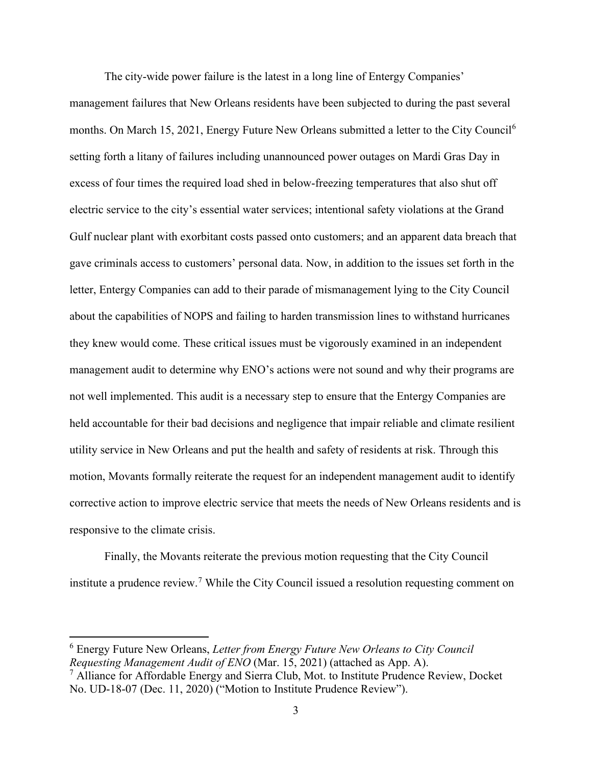The city-wide power failure is the latest in a long line of Entergy Companies'

management failures that New Orleans residents have been subjected to during the past several months. On March 15, 2021, Energy Future New Orleans submitted a letter to the City Council<sup>[6](#page-3-0)</sup> setting forth a litany of failures including unannounced power outages on Mardi Gras Day in excess of four times the required load shed in below-freezing temperatures that also shut off electric service to the city's essential water services; intentional safety violations at the Grand Gulf nuclear plant with exorbitant costs passed onto customers; and an apparent data breach that gave criminals access to customers' personal data. Now, in addition to the issues set forth in the letter, Entergy Companies can add to their parade of mismanagement lying to the City Council about the capabilities of NOPS and failing to harden transmission lines to withstand hurricanes they knew would come. These critical issues must be vigorously examined in an independent management audit to determine why ENO's actions were not sound and why their programs are not well implemented. This audit is a necessary step to ensure that the Entergy Companies are held accountable for their bad decisions and negligence that impair reliable and climate resilient utility service in New Orleans and put the health and safety of residents at risk. Through this motion, Movants formally reiterate the request for an independent management audit to identify corrective action to improve electric service that meets the needs of New Orleans residents and is responsive to the climate crisis.

Finally, the Movants reiterate the previous motion requesting that the City Council institute a prudence review.<sup>[7](#page-3-1)</sup> While the City Council issued a resolution requesting comment on

<span id="page-3-0"></span><sup>6</sup> Energy Future New Orleans, *Letter from Energy Future New Orleans to City Council Requesting Management Audit of ENO* (Mar. 15, 2021) (attached as App. A).

<span id="page-3-1"></span> $<sup>7</sup>$  Alliance for Affordable Energy and Sierra Club, Mot. to Institute Prudence Review, Docket</sup> No. UD-18-07 (Dec. 11, 2020) ("Motion to Institute Prudence Review").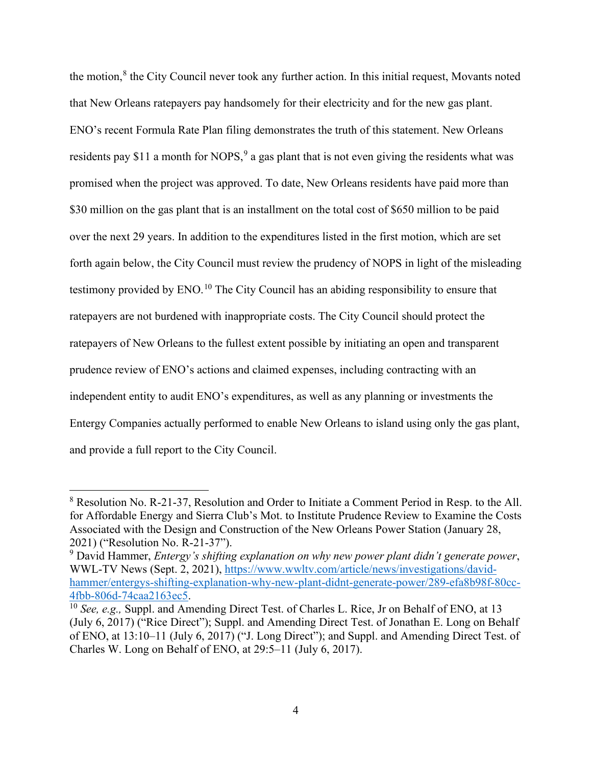the motion,<sup>[8](#page-4-0)</sup> the City Council never took any further action. In this initial request, Movants noted that New Orleans ratepayers pay handsomely for their electricity and for the new gas plant. ENO's recent Formula Rate Plan filing demonstrates the truth of this statement. New Orleans residents pay \$11 a month for NOPS,  $9$  a gas plant that is not even giving the residents what was promised when the project was approved. To date, New Orleans residents have paid more than \$30 million on the gas plant that is an installment on the total cost of \$650 million to be paid over the next 29 years. In addition to the expenditures listed in the first motion, which are set forth again below, the City Council must review the prudency of NOPS in light of the misleading testimony provided by  $ENO<sup>10</sup>$  $ENO<sup>10</sup>$  $ENO<sup>10</sup>$ . The City Council has an abiding responsibility to ensure that ratepayers are not burdened with inappropriate costs. The City Council should protect the ratepayers of New Orleans to the fullest extent possible by initiating an open and transparent prudence review of ENO's actions and claimed expenses, including contracting with an independent entity to audit ENO's expenditures, as well as any planning or investments the Entergy Companies actually performed to enable New Orleans to island using only the gas plant, and provide a full report to the City Council.

<span id="page-4-0"></span><sup>8</sup> Resolution No. R-21-37, Resolution and Order to Initiate a Comment Period in Resp. to the All. for Affordable Energy and Sierra Club's Mot. to Institute Prudence Review to Examine the Costs Associated with the Design and Construction of the New Orleans Power Station (January 28, 2021) ("Resolution No. R-21-37").

<span id="page-4-1"></span><sup>9</sup> David Hammer, *Entergy's shifting explanation on why new power plant didn't generate power*, WWL-TV News (Sept. 2, 2021), [https://www.wwltv.com/article/news/investigations/david](https://www.wwltv.com/article/news/investigations/david-hammer/entergys-shifting-explanation-why-new-plant-didnt-generate-power/289-efa8b98f-80cc-4fbb-806d-74caa2163ec5)[hammer/entergys-shifting-explanation-why-new-plant-didnt-generate-power/289-efa8b98f-80cc-](https://www.wwltv.com/article/news/investigations/david-hammer/entergys-shifting-explanation-why-new-plant-didnt-generate-power/289-efa8b98f-80cc-4fbb-806d-74caa2163ec5)[4fbb-806d-74caa2163ec5.](https://www.wwltv.com/article/news/investigations/david-hammer/entergys-shifting-explanation-why-new-plant-didnt-generate-power/289-efa8b98f-80cc-4fbb-806d-74caa2163ec5) 10 *See, e.g.,* Suppl. and Amending Direct Test. of Charles L. Rice, Jr on Behalf of ENO, at 13

<span id="page-4-2"></span><sup>(</sup>July 6, 2017) ("Rice Direct"); Suppl. and Amending Direct Test. of Jonathan E. Long on Behalf of ENO, at 13:10–11 (July 6, 2017) ("J. Long Direct"); and Suppl. and Amending Direct Test. of Charles W. Long on Behalf of ENO, at 29:5–11 (July 6, 2017).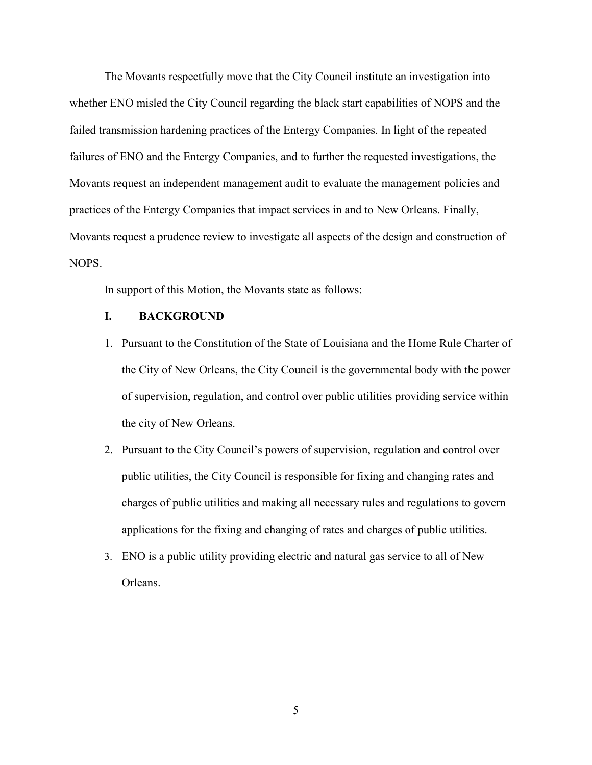The Movants respectfully move that the City Council institute an investigation into whether ENO misled the City Council regarding the black start capabilities of NOPS and the failed transmission hardening practices of the Entergy Companies. In light of the repeated failures of ENO and the Entergy Companies, and to further the requested investigations, the Movants request an independent management audit to evaluate the management policies and practices of the Entergy Companies that impact services in and to New Orleans. Finally, Movants request a prudence review to investigate all aspects of the design and construction of NOPS.

In support of this Motion, the Movants state as follows:

### **I. BACKGROUND**

- 1. Pursuant to the Constitution of the State of Louisiana and the Home Rule Charter of the City of New Orleans, the City Council is the governmental body with the power of supervision, regulation, and control over public utilities providing service within the city of New Orleans.
- 2. Pursuant to the City Council's powers of supervision, regulation and control over public utilities, the City Council is responsible for fixing and changing rates and charges of public utilities and making all necessary rules and regulations to govern applications for the fixing and changing of rates and charges of public utilities.
- 3. ENO is a public utility providing electric and natural gas service to all of New Orleans.

5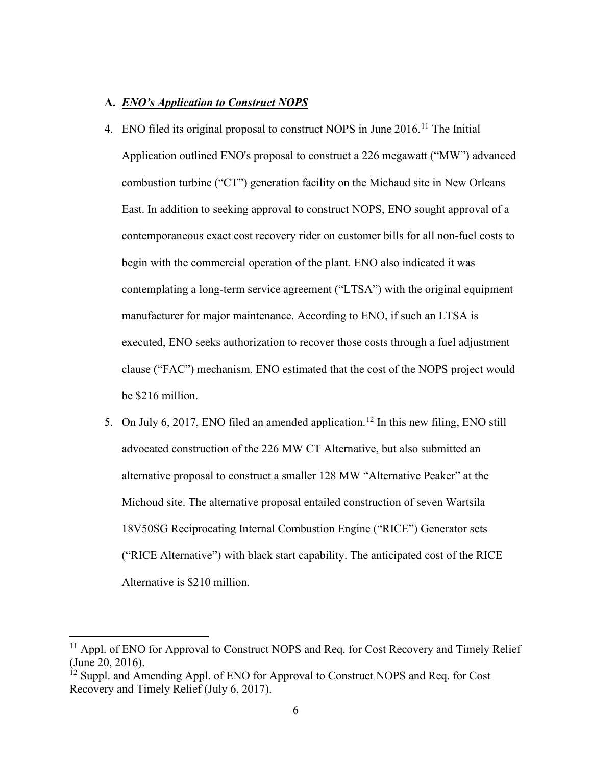#### **A.** *ENO's Application to Construct NOPS*

- 4. ENO filed its original proposal to construct NOPS in June 2016.<sup>[11](#page-6-0)</sup> The Initial Application outlined ENO's proposal to construct a 226 megawatt ("MW") advanced combustion turbine ("CT") generation facility on the Michaud site in New Orleans East. In addition to seeking approval to construct NOPS, ENO sought approval of a contemporaneous exact cost recovery rider on customer bills for all non-fuel costs to begin with the commercial operation of the plant. ENO also indicated it was contemplating a long-term service agreement ("LTSA") with the original equipment manufacturer for major maintenance. According to ENO, if such an LTSA is executed, ENO seeks authorization to recover those costs through a fuel adjustment clause ("FAC") mechanism. ENO estimated that the cost of the NOPS project would be \$216 million.
- 5. On July 6, 2017, ENO filed an amended application.<sup>[12](#page-6-1)</sup> In this new filing, ENO still advocated construction of the 226 MW CT Alternative, but also submitted an alternative proposal to construct a smaller 128 MW "Alternative Peaker" at the Michoud site. The alternative proposal entailed construction of seven Wartsila 18V50SG Reciprocating Internal Combustion Engine ("RICE") Generator sets ("RICE Alternative") with black start capability. The anticipated cost of the RICE Alternative is \$210 million.

<span id="page-6-0"></span><sup>&</sup>lt;sup>11</sup> Appl. of ENO for Approval to Construct NOPS and Req. for Cost Recovery and Timely Relief (June 20, 2016).

<span id="page-6-1"></span><sup>&</sup>lt;sup>12</sup> Suppl. and Amending Appl. of ENO for Approval to Construct NOPS and Req. for Cost Recovery and Timely Relief (July 6, 2017).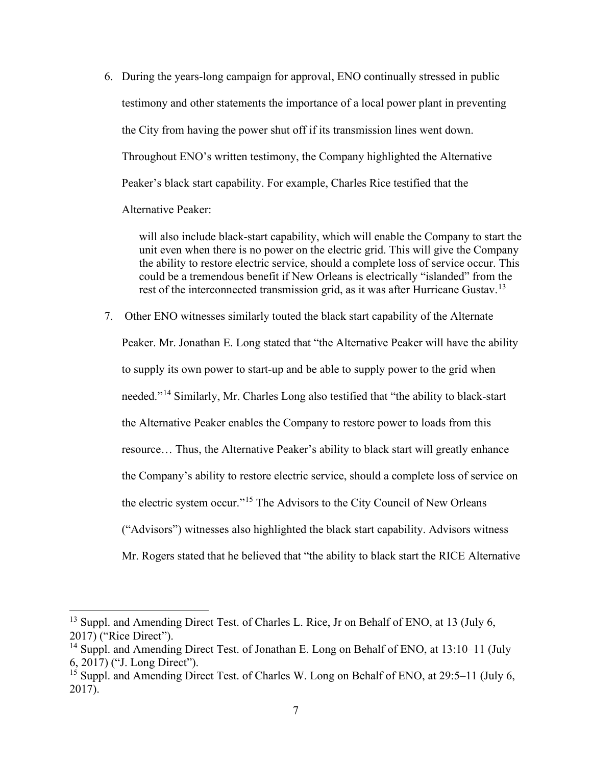6. During the years-long campaign for approval, ENO continually stressed in public testimony and other statements the importance of a local power plant in preventing the City from having the power shut off if its transmission lines went down. Throughout ENO's written testimony, the Company highlighted the Alternative Peaker's black start capability. For example, Charles Rice testified that the Alternative Peaker:

will also include black-start capability, which will enable the Company to start the unit even when there is no power on the electric grid. This will give the Company the ability to restore electric service, should a complete loss of service occur. This could be a tremendous benefit if New Orleans is electrically "islanded" from the rest of the interconnected transmission grid, as it was after Hurricane Gustav.<sup>[13](#page-7-0)</sup>

7. Other ENO witnesses similarly touted the black start capability of the Alternate Peaker. Mr. Jonathan E. Long stated that "the Alternative Peaker will have the ability to supply its own power to start-up and be able to supply power to the grid when needed."[14](#page-7-1) Similarly, Mr. Charles Long also testified that "the ability to black-start the Alternative Peaker enables the Company to restore power to loads from this resource… Thus, the Alternative Peaker's ability to black start will greatly enhance the Company's ability to restore electric service, should a complete loss of service on the electric system occur."<sup>[15](#page-7-2)</sup> The Advisors to the City Council of New Orleans ("Advisors") witnesses also highlighted the black start capability. Advisors witness Mr. Rogers stated that he believed that "the ability to black start the RICE Alternative

<span id="page-7-0"></span><sup>&</sup>lt;sup>13</sup> Suppl. and Amending Direct Test. of Charles L. Rice, Jr on Behalf of ENO, at 13 (July 6, 2017) ("Rice Direct").

<span id="page-7-1"></span><sup>&</sup>lt;sup>14</sup> Suppl. and Amending Direct Test. of Jonathan E. Long on Behalf of ENO, at 13:10–11 (July 6, 2017) ("J. Long Direct").

<span id="page-7-2"></span><sup>&</sup>lt;sup>15</sup> Suppl. and Amending Direct Test. of Charles W. Long on Behalf of ENO, at 29:5–11 (July 6, 2017).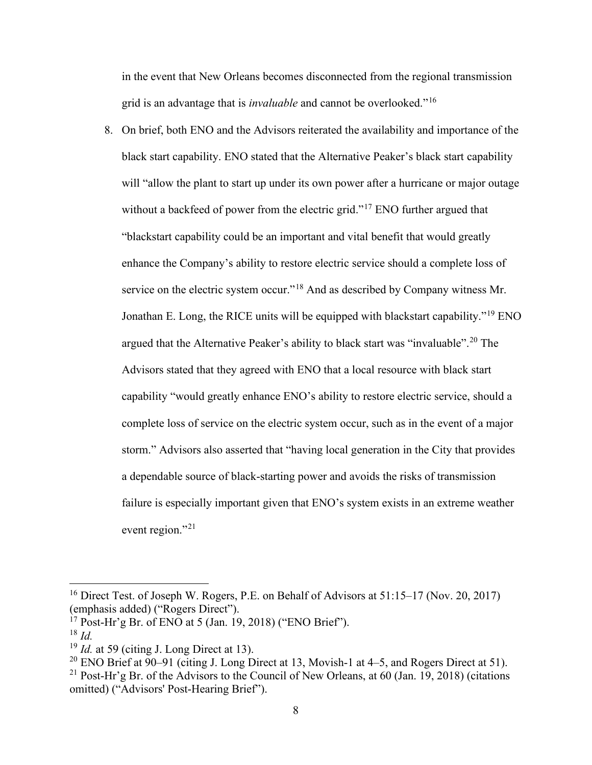in the event that New Orleans becomes disconnected from the regional transmission grid is an advantage that is *invaluable* and cannot be overlooked."[16](#page-8-0)

8. On brief, both ENO and the Advisors reiterated the availability and importance of the black start capability. ENO stated that the Alternative Peaker's black start capability will "allow the plant to start up under its own power after a hurricane or major outage without a backfeed of power from the electric grid."<sup>[17](#page-8-1)</sup> ENO further argued that "blackstart capability could be an important and vital benefit that would greatly enhance the Company's ability to restore electric service should a complete loss of service on the electric system occur."<sup>[18](#page-8-2)</sup> And as described by Company witness Mr. Jonathan E. Long, the RICE units will be equipped with blackstart capability."<sup>[19](#page-8-3)</sup> ENO argued that the Alternative Peaker's ability to black start was "invaluable".<sup>[20](#page-8-4)</sup> The Advisors stated that they agreed with ENO that a local resource with black start capability "would greatly enhance ENO's ability to restore electric service, should a complete loss of service on the electric system occur, such as in the event of a major storm." Advisors also asserted that "having local generation in the City that provides a dependable source of black-starting power and avoids the risks of transmission failure is especially important given that ENO's system exists in an extreme weather event region."<sup>[21](#page-8-5)</sup>

<span id="page-8-0"></span><sup>&</sup>lt;sup>16</sup> Direct Test. of Joseph W. Rogers, P.E. on Behalf of Advisors at 51:15–17 (Nov. 20, 2017) (emphasis added) ("Rogers Direct").

<span id="page-8-1"></span> $17$  Post-Hr'g Br. of ENO at 5 (Jan. 19, 2018) ("ENO Brief").

<span id="page-8-2"></span><sup>18</sup> *Id.*

<span id="page-8-3"></span><sup>19</sup> *Id.* at 59 (citing J. Long Direct at 13).

<span id="page-8-4"></span><sup>&</sup>lt;sup>20</sup> ENO Brief at 90–91 (citing J. Long Direct at 13, Movish-1 at 4–5, and Rogers Direct at 51).

<span id="page-8-5"></span><sup>&</sup>lt;sup>21</sup> Post-Hr'g Br. of the Advisors to the Council of New Orleans, at 60 (Jan. 19, 2018) (citations omitted) ("Advisors' Post-Hearing Brief").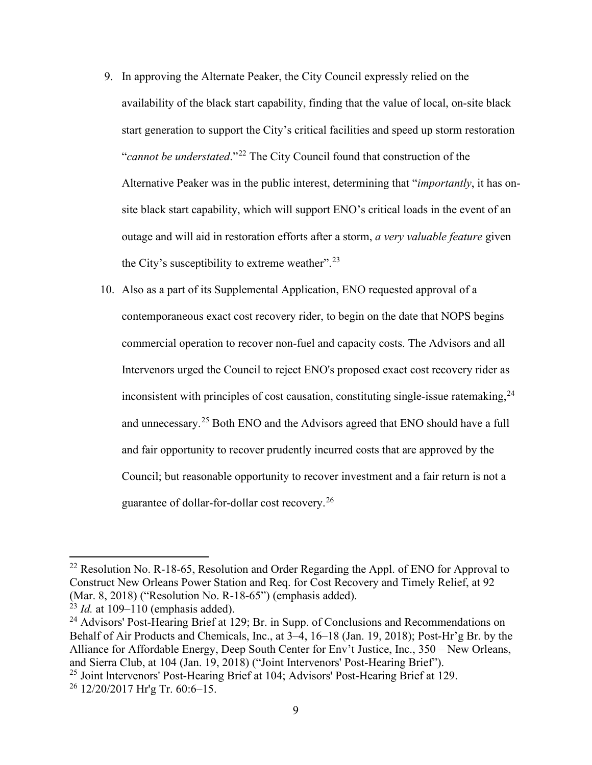- 9. In approving the Alternate Peaker, the City Council expressly relied on the availability of the black start capability, finding that the value of local, on-site black start generation to support the City's critical facilities and speed up storm restoration "*cannot be understated*."[22](#page-9-0) The City Council found that construction of the Alternative Peaker was in the public interest, determining that "*importantly*, it has onsite black start capability, which will support ENO's critical loads in the event of an outage and will aid in restoration efforts after a storm, *a very valuable feature* given the City's susceptibility to extreme weather".<sup>[23](#page-9-1)</sup>
- 10. Also as a part of its Supplemental Application, ENO requested approval of a contemporaneous exact cost recovery rider, to begin on the date that NOPS begins commercial operation to recover non-fuel and capacity costs. The Advisors and all Intervenors urged the Council to reject ENO's proposed exact cost recovery rider as inconsistent with principles of cost causation, constituting single-issue ratemaking,  $24$ and unnecessary.<sup>[25](#page-9-3)</sup> Both ENO and the Advisors agreed that ENO should have a full and fair opportunity to recover prudently incurred costs that are approved by the Council; but reasonable opportunity to recover investment and a fair return is not a guarantee of dollar-for-dollar cost recovery.[26](#page-9-4)

<span id="page-9-0"></span><sup>&</sup>lt;sup>22</sup> Resolution No. R-18-65, Resolution and Order Regarding the Appl. of ENO for Approval to Construct New Orleans Power Station and Req. for Cost Recovery and Timely Relief, at 92 (Mar. 8, 2018) ("Resolution No. R-18-65") (emphasis added).

<sup>23</sup> *Id.* at 109–110 (emphasis added).

<span id="page-9-2"></span><span id="page-9-1"></span><sup>&</sup>lt;sup>24</sup> Advisors' Post-Hearing Brief at 129; Br. in Supp. of Conclusions and Recommendations on Behalf of Air Products and Chemicals, Inc., at 3–4, 16–18 (Jan. 19, 2018); Post-Hr'g Br. by the Alliance for Affordable Energy, Deep South Center for Env't Justice, Inc., 350 – New Orleans, and Sierra Club, at 104 (Jan. 19, 2018) ("Joint Intervenors' Post-Hearing Brief").

<span id="page-9-3"></span><sup>25</sup> Joint lntervenors' Post-Hearing Brief at 104; Advisors' Post-Hearing Brief at 129.

<span id="page-9-4"></span> $26$  12/20/2017 Hr'g Tr. 60:6-15.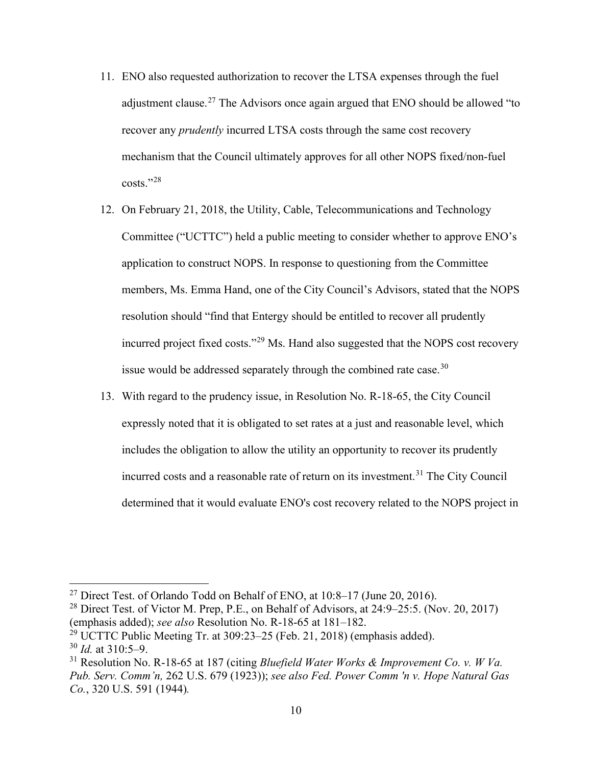- 11. ENO also requested authorization to recover the LTSA expenses through the fuel adjustment clause.<sup>[27](#page-10-0)</sup> The Advisors once again argued that ENO should be allowed "to recover any *prudently* incurred LTSA costs through the same cost recovery mechanism that the Council ultimately approves for all other NOPS fixed/non-fuel costs."[28](#page-10-1)
- 12. On February 21, 2018, the Utility, Cable, Telecommunications and Technology Committee ("UCTTC") held a public meeting to consider whether to approve ENO's application to construct NOPS. In response to questioning from the Committee members, Ms. Emma Hand, one of the City Council's Advisors, stated that the NOPS resolution should "find that Entergy should be entitled to recover all prudently incurred project fixed costs."[29](#page-10-2) Ms. Hand also suggested that the NOPS cost recovery issue would be addressed separately through the combined rate case.<sup>[30](#page-10-3)</sup>
- 13. With regard to the prudency issue, in Resolution No. R-18-65, the City Council expressly noted that it is obligated to set rates at a just and reasonable level, which includes the obligation to allow the utility an opportunity to recover its prudently incurred costs and a reasonable rate of return on its investment.<sup>[31](#page-10-4)</sup> The City Council determined that it would evaluate ENO's cost recovery related to the NOPS project in

<span id="page-10-3"></span><span id="page-10-2"></span><sup>29</sup> UCTTC Public Meeting Tr. at  $309:23-25$  (Feb. 21, 2018) (emphasis added). <sup>30</sup> *Id.* at 310:5–9.

<span id="page-10-0"></span><sup>&</sup>lt;sup>27</sup> Direct Test. of Orlando Todd on Behalf of ENO, at  $10:8-17$  (June 20, 2016).

<span id="page-10-1"></span><sup>&</sup>lt;sup>28</sup> Direct Test. of Victor M. Prep, P.E., on Behalf of Advisors, at  $24:9-25:5$ . (Nov. 20, 2017) (emphasis added); *see also* Resolution No. R-18-65 at 181–182.

<span id="page-10-4"></span><sup>31</sup> Resolution No. R-18-65 at 187 (citing *Bluefield Water Works & Improvement Co. v. W Va. Pub. Serv. Comm'n,* 262 U.S. 679 (1923)); *see also Fed. Power Comm 'n v. Hope Natural Gas Co.*, 320 U.S. 591 (1944)*.*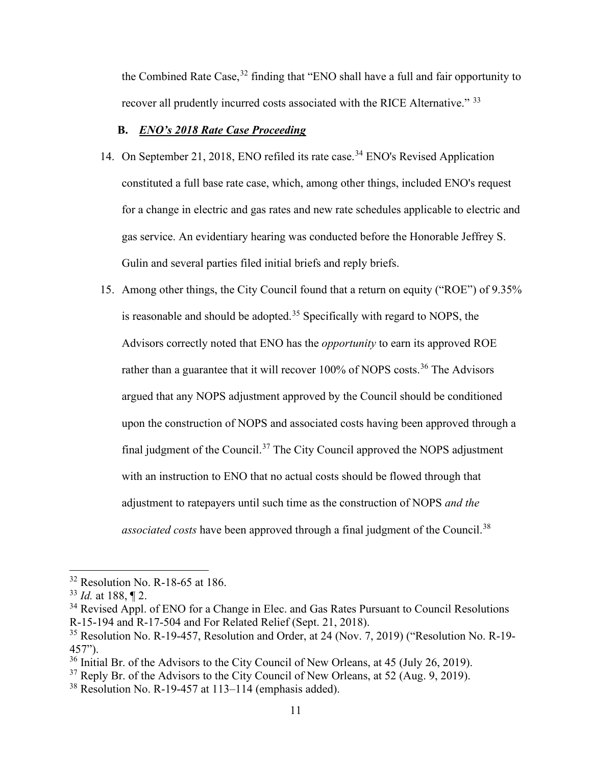the Combined Rate Case,<sup>[32](#page-11-0)</sup> finding that "ENO shall have a full and fair opportunity to recover all prudently incurred costs associated with the RICE Alternative." [33](#page-11-1)

## **B.** *ENO's 2018 Rate Case Proceeding*

- 14. On September 21, 2018, ENO refiled its rate case.<sup>[34](#page-11-2)</sup> ENO's Revised Application constituted a full base rate case, which, among other things, included ENO's request for a change in electric and gas rates and new rate schedules applicable to electric and gas service. An evidentiary hearing was conducted before the Honorable Jeffrey S. Gulin and several parties filed initial briefs and reply briefs.
- 15. Among other things, the City Council found that a return on equity ("ROE") of 9.35% is reasonable and should be adopted.<sup>[35](#page-11-3)</sup> Specifically with regard to NOPS, the Advisors correctly noted that ENO has the *opportunity* to earn its approved ROE rather than a guarantee that it will recover 100% of NOPS costs.<sup>[36](#page-11-4)</sup> The Advisors argued that any NOPS adjustment approved by the Council should be conditioned upon the construction of NOPS and associated costs having been approved through a final judgment of the Council.<sup>[37](#page-11-5)</sup> The City Council approved the NOPS adjustment with an instruction to ENO that no actual costs should be flowed through that adjustment to ratepayers until such time as the construction of NOPS *and the associated costs* have been approved through a final judgment of the Council. [38](#page-11-6)

<span id="page-11-0"></span> $32$  Resolution No. R-18-65 at 186.

<span id="page-11-1"></span><sup>33</sup> *Id.* at 188, ¶ 2.

<span id="page-11-2"></span><sup>&</sup>lt;sup>34</sup> Revised Appl. of ENO for a Change in Elec. and Gas Rates Pursuant to Council Resolutions R-15-194 and R-17-504 and For Related Relief (Sept. 21, 2018).

<span id="page-11-3"></span> $35$  Resolution No. R-19-457, Resolution and Order, at 24 (Nov. 7, 2019) ("Resolution No. R-19-457").

<span id="page-11-4"></span><sup>&</sup>lt;sup>36</sup> Initial Br. of the Advisors to the City Council of New Orleans, at 45 (July 26, 2019).

<span id="page-11-5"></span> $37$  Reply Br. of the Advisors to the City Council of New Orleans, at 52 (Aug. 9, 2019).

<span id="page-11-6"></span> $38$  Resolution No. R-19-457 at 113–114 (emphasis added).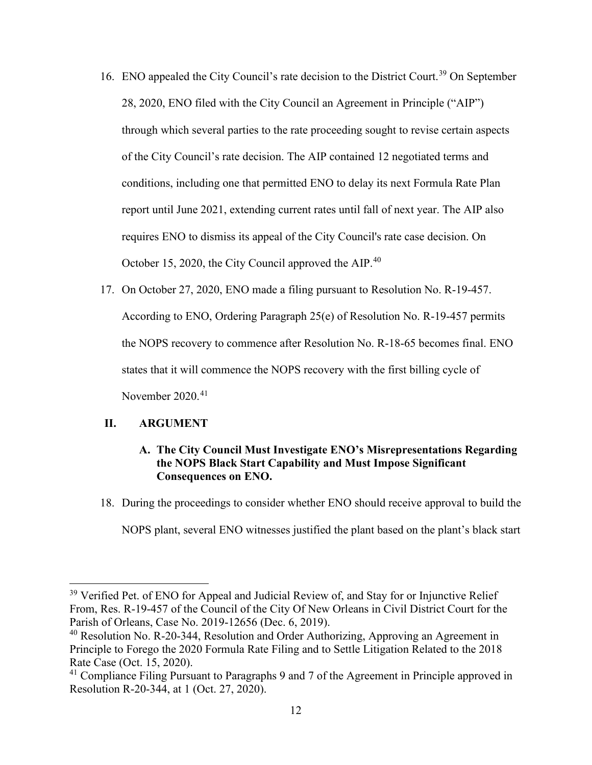- 16. ENO appealed the City Council's rate decision to the District Court.<sup>[39](#page-12-0)</sup> On September 28, 2020, ENO filed with the City Council an Agreement in Principle ("AIP") through which several parties to the rate proceeding sought to revise certain aspects of the City Council's rate decision. The AIP contained 12 negotiated terms and conditions, including one that permitted ENO to delay its next Formula Rate Plan report until June 2021, extending current rates until fall of next year. The AIP also requires ENO to dismiss its appeal of the City Council's rate case decision. On October 15, 2020, the City Council approved the AIP.<sup>[40](#page-12-1)</sup>
- 17. On October 27, 2020, ENO made a filing pursuant to Resolution No. R-19-457. According to ENO, Ordering Paragraph 25(e) of Resolution No. R-19-457 permits the NOPS recovery to commence after Resolution No. R-18-65 becomes final. ENO states that it will commence the NOPS recovery with the first billing cycle of November 2020.<sup>[41](#page-12-2)</sup>

#### **II. ARGUMENT**

# **A. The City Council Must Investigate ENO's Misrepresentations Regarding the NOPS Black Start Capability and Must Impose Significant Consequences on ENO.**

18. During the proceedings to consider whether ENO should receive approval to build the

NOPS plant, several ENO witnesses justified the plant based on the plant's black start

<span id="page-12-0"></span><sup>&</sup>lt;sup>39</sup> Verified Pet. of ENO for Appeal and Judicial Review of, and Stay for or Injunctive Relief From, Res. R-19-457 of the Council of the City Of New Orleans in Civil District Court for the Parish of Orleans, Case No. 2019-12656 (Dec. 6, 2019).

<span id="page-12-1"></span> $40$  Resolution No. R-20-344, Resolution and Order Authorizing, Approving an Agreement in Principle to Forego the 2020 Formula Rate Filing and to Settle Litigation Related to the 2018 Rate Case (Oct. 15, 2020).

<span id="page-12-2"></span> $41$  Compliance Filing Pursuant to Paragraphs 9 and 7 of the Agreement in Principle approved in Resolution R-20-344, at 1 (Oct. 27, 2020).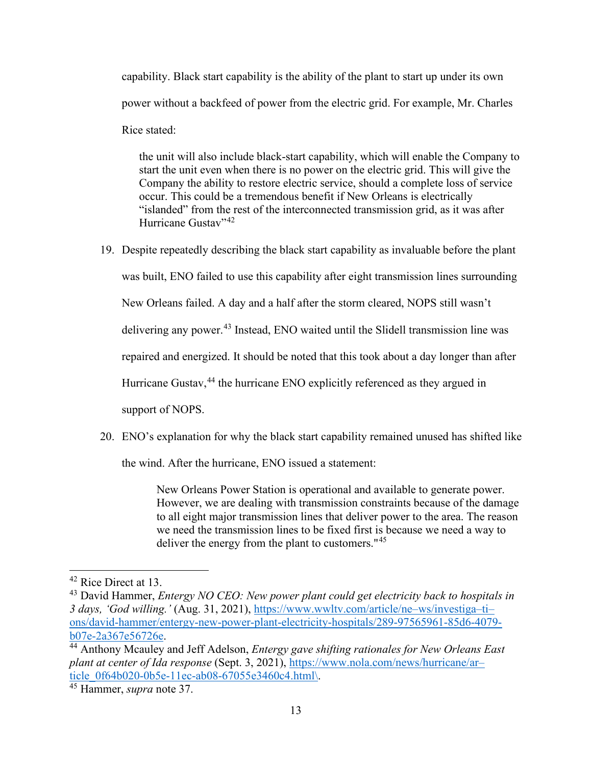capability. Black start capability is the ability of the plant to start up under its own power without a backfeed of power from the electric grid. For example, Mr. Charles Rice stated:

the unit will also include black-start capability, which will enable the Company to start the unit even when there is no power on the electric grid. This will give the Company the ability to restore electric service, should a complete loss of service occur. This could be a tremendous benefit if New Orleans is electrically "islanded" from the rest of the interconnected transmission grid, as it was after Hurricane Gustav"<sup>[42](#page-13-0)</sup>

19. Despite repeatedly describing the black start capability as invaluable before the plant

was built, ENO failed to use this capability after eight transmission lines surrounding

New Orleans failed. A day and a half after the storm cleared, NOPS still wasn't

delivering any power.<sup>[43](#page-13-1)</sup> Instead, ENO waited until the Slidell transmission line was

repaired and energized. It should be noted that this took about a day longer than after

Hurricane Gustav,<sup>[44](#page-13-2)</sup> the hurricane ENO explicitly referenced as they argued in

support of NOPS.

20. ENO's explanation for why the black start capability remained unused has shifted like

the wind. After the hurricane, ENO issued a statement:

New Orleans Power Station is operational and available to generate power. However, we are dealing with transmission constraints because of the damage to all eight major transmission lines that deliver power to the area. The reason we need the transmission lines to be fixed first is because we need a way to deliver the energy from the plant to customers."[45](#page-13-3)

<span id="page-13-0"></span><sup>&</sup>lt;sup>42</sup> Rice Direct at 13.

<span id="page-13-1"></span><sup>43</sup> David Hammer, *Entergy NO CEO: New power plant could get electricity back to hospitals in 3 days, 'God willing.'* (Aug. 31, 2021), [https://www.wwltv.com/article/ne–ws/investiga–ti–](https://www.wwltv.com/article/ne%E2%80%93ws/investiga%E2%80%93ti%E2%80%93ons/david-hammer/entergy-new-power-plant-electricity-hospitals/289-97565961-85d6-4079-b07e-2a367e56726e) [ons/david-hammer/entergy-new-power-plant-electricity-hospitals/289-97565961-85d6-4079](https://www.wwltv.com/article/ne%E2%80%93ws/investiga%E2%80%93ti%E2%80%93ons/david-hammer/entergy-new-power-plant-electricity-hospitals/289-97565961-85d6-4079-b07e-2a367e56726e) [b07e-2a367e56726e.](https://www.wwltv.com/article/ne%E2%80%93ws/investiga%E2%80%93ti%E2%80%93ons/david-hammer/entergy-new-power-plant-electricity-hospitals/289-97565961-85d6-4079-b07e-2a367e56726e)

<span id="page-13-2"></span><sup>44</sup> Anthony Mcauley and Jeff Adelson, *Entergy gave shifting rationales for New Orleans East plant at center of Ida response* (Sept. 3, 2021), [https://www.nola.com/news/hurricane/ar–](https://www.nola.com/news/hurricane/ar%E2%80%93ticle_0f64b020-0b5e-11ec-ab08-67055e3460c4.html/) [ticle\\_0f64b020-0b5e-11ec-ab08-67055e3460c4.html\.](https://www.nola.com/news/hurricane/ar%E2%80%93ticle_0f64b020-0b5e-11ec-ab08-67055e3460c4.html/)

<span id="page-13-3"></span><sup>45</sup> Hammer, *supra* note 37.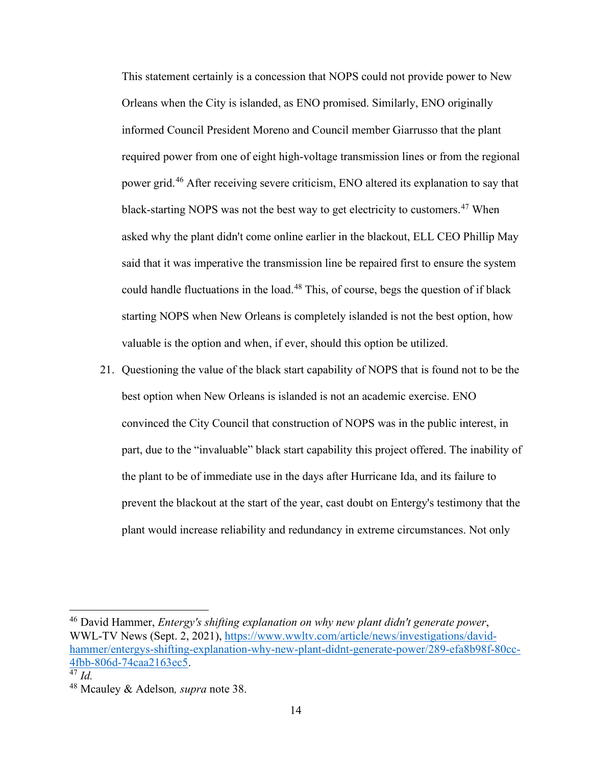This statement certainly is a concession that NOPS could not provide power to New Orleans when the City is islanded, as ENO promised. Similarly, ENO originally informed Council President Moreno and Council member Giarrusso that the plant required power from one of eight high-voltage transmission lines or from the regional power grid.<sup>[46](#page-14-0)</sup> After receiving severe criticism, ENO altered its explanation to say that black-starting NOPS was not the best way to get electricity to customers.<sup>[47](#page-14-1)</sup> When asked why the plant didn't come online earlier in the blackout, ELL CEO Phillip May said that it was imperative the transmission line be repaired first to ensure the system could handle fluctuations in the load.<sup>[48](#page-14-2)</sup> This, of course, begs the question of if black starting NOPS when New Orleans is completely islanded is not the best option, how valuable is the option and when, if ever, should this option be utilized.

21. Questioning the value of the black start capability of NOPS that is found not to be the best option when New Orleans is islanded is not an academic exercise. ENO convinced the City Council that construction of NOPS was in the public interest, in part, due to the "invaluable" black start capability this project offered. The inability of the plant to be of immediate use in the days after Hurricane Ida, and its failure to prevent the blackout at the start of the year, cast doubt on Entergy's testimony that the plant would increase reliability and redundancy in extreme circumstances. Not only

<span id="page-14-0"></span><sup>46</sup> David Hammer, *Entergy's shifting explanation on why new plant didn't generate power*, WWL-TV News (Sept. 2, 2021), [https://www.wwltv.com/article/news/investigations/david](https://www.wwltv.com/article/news/investigations/david-hammer/entergys-shifting-explanation-why-new-plant-didnt-generate-power/289-efa8b98f-80cc-4fbb-806d-74caa2163ec5)[hammer/entergys-shifting-explanation-why-new-plant-didnt-generate-power/289-efa8b98f-80cc-](https://www.wwltv.com/article/news/investigations/david-hammer/entergys-shifting-explanation-why-new-plant-didnt-generate-power/289-efa8b98f-80cc-4fbb-806d-74caa2163ec5)[4fbb-806d-74caa2163ec5.](https://www.wwltv.com/article/news/investigations/david-hammer/entergys-shifting-explanation-why-new-plant-didnt-generate-power/289-efa8b98f-80cc-4fbb-806d-74caa2163ec5)

<span id="page-14-1"></span><sup>47</sup> *Id.*

<span id="page-14-2"></span><sup>48</sup> Mcauley & Adelson*, supra* note 38.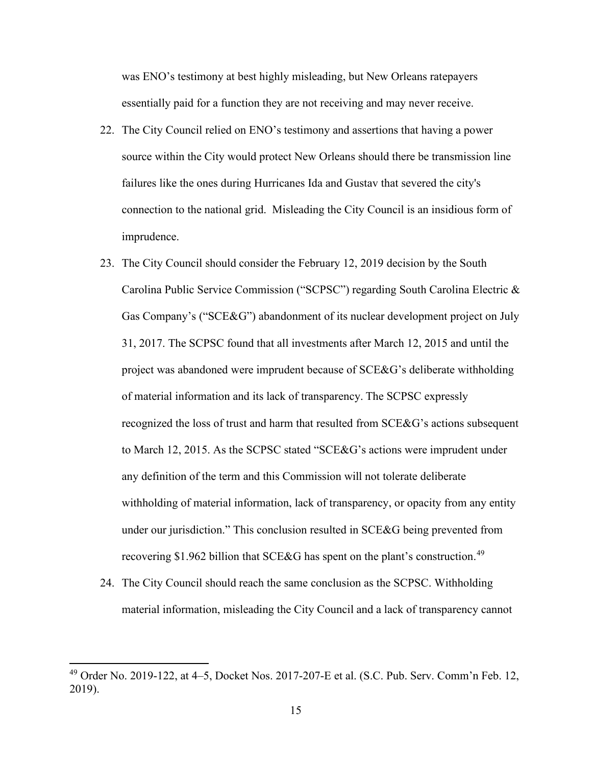was ENO's testimony at best highly misleading, but New Orleans ratepayers essentially paid for a function they are not receiving and may never receive.

- 22. The City Council relied on ENO's testimony and assertions that having a power source within the City would protect New Orleans should there be transmission line failures like the ones during Hurricanes Ida and Gustav that severed the city's connection to the national grid. Misleading the City Council is an insidious form of imprudence.
- 23. The City Council should consider the February 12, 2019 decision by the South Carolina Public Service Commission ("SCPSC") regarding South Carolina Electric & Gas Company's ("SCE&G") abandonment of its nuclear development project on July 31, 2017. The SCPSC found that all investments after March 12, 2015 and until the project was abandoned were imprudent because of SCE&G's deliberate withholding of material information and its lack of transparency. The SCPSC expressly recognized the loss of trust and harm that resulted from SCE&G's actions subsequent to March 12, 2015. As the SCPSC stated "SCE&G's actions were imprudent under any definition of the term and this Commission will not tolerate deliberate withholding of material information, lack of transparency, or opacity from any entity under our jurisdiction." This conclusion resulted in SCE&G being prevented from recovering \$1.962 billion that SCE&G has spent on the plant's construction.<sup>[49](#page-15-0)</sup>
- 24. The City Council should reach the same conclusion as the SCPSC. Withholding material information, misleading the City Council and a lack of transparency cannot

<span id="page-15-0"></span> $49$  Order No. 2019-122, at  $4-5$ , Docket Nos. 2017-207-E et al. (S.C. Pub. Serv. Comm'n Feb. 12, 2019).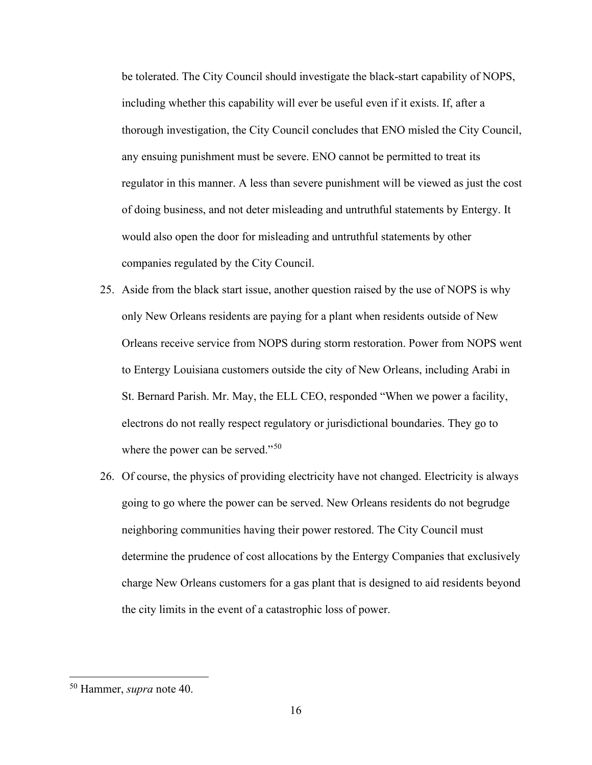be tolerated. The City Council should investigate the black-start capability of NOPS, including whether this capability will ever be useful even if it exists. If, after a thorough investigation, the City Council concludes that ENO misled the City Council, any ensuing punishment must be severe. ENO cannot be permitted to treat its regulator in this manner. A less than severe punishment will be viewed as just the cost of doing business, and not deter misleading and untruthful statements by Entergy. It would also open the door for misleading and untruthful statements by other companies regulated by the City Council.

- 25. Aside from the black start issue, another question raised by the use of NOPS is why only New Orleans residents are paying for a plant when residents outside of New Orleans receive service from NOPS during storm restoration. Power from NOPS went to Entergy Louisiana customers outside the city of New Orleans, including Arabi in St. Bernard Parish. Mr. May, the ELL CEO, responded "When we power a facility, electrons do not really respect regulatory or jurisdictional boundaries. They go to where the power can be served."<sup>[50](#page-16-0)</sup>
- 26. Of course, the physics of providing electricity have not changed. Electricity is always going to go where the power can be served. New Orleans residents do not begrudge neighboring communities having their power restored. The City Council must determine the prudence of cost allocations by the Entergy Companies that exclusively charge New Orleans customers for a gas plant that is designed to aid residents beyond the city limits in the event of a catastrophic loss of power.

<span id="page-16-0"></span><sup>50</sup> Hammer, *supra* note 40.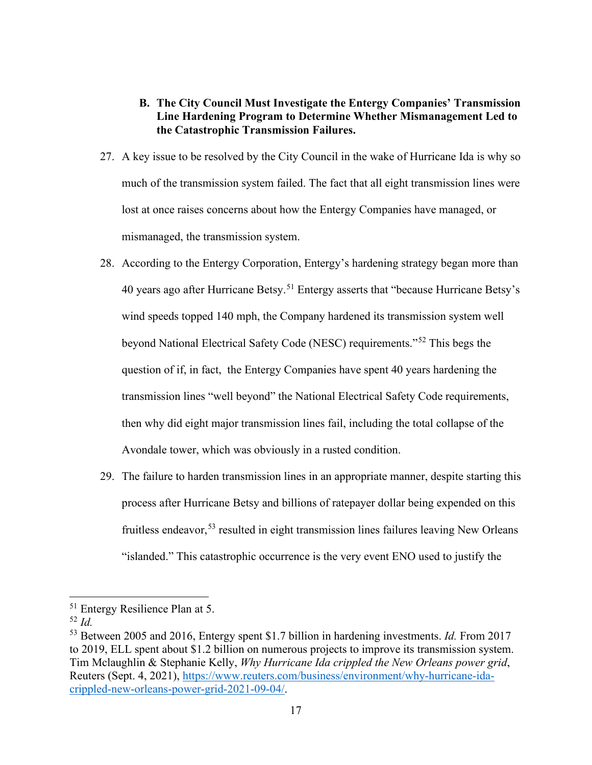# **B. The City Council Must Investigate the Entergy Companies' Transmission Line Hardening Program to Determine Whether Mismanagement Led to the Catastrophic Transmission Failures.**

- 27. A key issue to be resolved by the City Council in the wake of Hurricane Ida is why so much of the transmission system failed. The fact that all eight transmission lines were lost at once raises concerns about how the Entergy Companies have managed, or mismanaged, the transmission system.
- 28. According to the Entergy Corporation, Entergy's hardening strategy began more than 40 years ago after Hurricane Betsy.<sup>[51](#page-17-0)</sup> Entergy asserts that "because Hurricane Betsy's wind speeds topped 140 mph, the Company hardened its transmission system well beyond National Electrical Safety Code (NESC) requirements."[52](#page-17-1) This begs the question of if, in fact, the Entergy Companies have spent 40 years hardening the transmission lines "well beyond" the National Electrical Safety Code requirements, then why did eight major transmission lines fail, including the total collapse of the Avondale tower, which was obviously in a rusted condition.
- 29. The failure to harden transmission lines in an appropriate manner, despite starting this process after Hurricane Betsy and billions of ratepayer dollar being expended on this fruitless endeavor,  $53$  resulted in eight transmission lines failures leaving New Orleans "islanded." This catastrophic occurrence is the very event ENO used to justify the

<span id="page-17-0"></span><sup>51</sup> Entergy Resilience Plan at 5.

<span id="page-17-1"></span><sup>52</sup> *Id.*

<span id="page-17-2"></span><sup>53</sup> Between 2005 and 2016, Entergy spent \$1.7 billion in hardening investments. *Id.* From 2017 to 2019, ELL spent about \$1.2 billion on numerous projects to improve its transmission system. Tim Mclaughlin & Stephanie Kelly, *Why Hurricane Ida crippled the New Orleans power grid*, Reuters (Sept. 4, 2021), [https://www.reuters.com/business/environment/why-hurricane-ida](https://www.reuters.com/business/environment/why-hurricane-ida-crippled-new-orleans-power-grid-2021-09-04/)[crippled-new-orleans-power-grid-2021-09-04/.](https://www.reuters.com/business/environment/why-hurricane-ida-crippled-new-orleans-power-grid-2021-09-04/)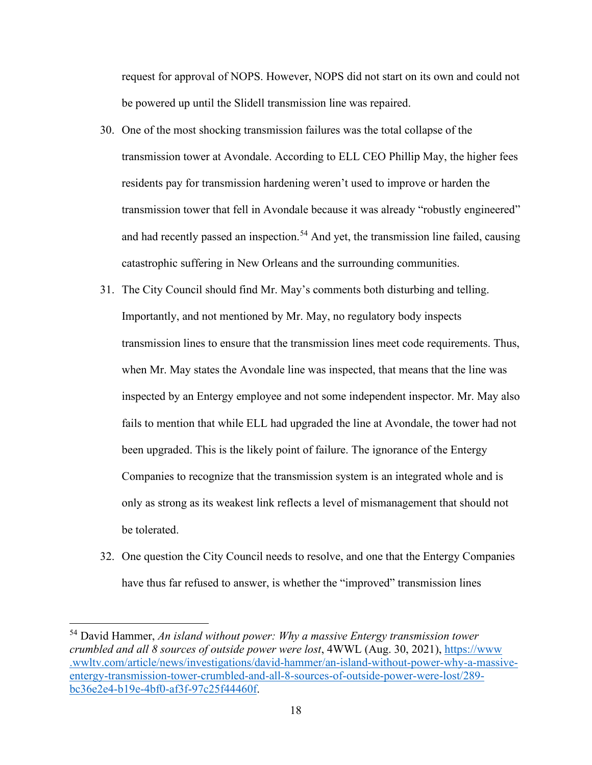request for approval of NOPS. However, NOPS did not start on its own and could not be powered up until the Slidell transmission line was repaired.

- 30. One of the most shocking transmission failures was the total collapse of the transmission tower at Avondale. According to ELL CEO Phillip May, the higher fees residents pay for transmission hardening weren't used to improve or harden the transmission tower that fell in Avondale because it was already "robustly engineered" and had recently passed an inspection.<sup>[54](#page-18-0)</sup> And yet, the transmission line failed, causing catastrophic suffering in New Orleans and the surrounding communities.
- 31. The City Council should find Mr. May's comments both disturbing and telling. Importantly, and not mentioned by Mr. May, no regulatory body inspects transmission lines to ensure that the transmission lines meet code requirements. Thus, when Mr. May states the Avondale line was inspected, that means that the line was inspected by an Entergy employee and not some independent inspector. Mr. May also fails to mention that while ELL had upgraded the line at Avondale, the tower had not been upgraded. This is the likely point of failure. The ignorance of the Entergy Companies to recognize that the transmission system is an integrated whole and is only as strong as its weakest link reflects a level of mismanagement that should not be tolerated.
- 32. One question the City Council needs to resolve, and one that the Entergy Companies have thus far refused to answer, is whether the "improved" transmission lines

<span id="page-18-0"></span><sup>54</sup> David Hammer, *An island without power: Why a massive Entergy transmission tower crumbled and all 8 sources of outside power were lost*, 4WWL (Aug. 30, 2021), [https://www](https://www.wwltv.com/article/news/investigations/david-hammer/an-island-without-power-why-a-massive-entergy-transmission-tower-crumbled-and-all-8-sources-of-outside-power-were-lost/289-bc36e2e4-b19e-4bf0-af3f-97c25f44460f) [.wwltv.com/article/news/investigations/david-hammer/an-island-without-power-why-a-massive](https://www.wwltv.com/article/news/investigations/david-hammer/an-island-without-power-why-a-massive-entergy-transmission-tower-crumbled-and-all-8-sources-of-outside-power-were-lost/289-bc36e2e4-b19e-4bf0-af3f-97c25f44460f)[entergy-transmission-tower-crumbled-and-all-8-sources-of-outside-power-were-lost/289](https://www.wwltv.com/article/news/investigations/david-hammer/an-island-without-power-why-a-massive-entergy-transmission-tower-crumbled-and-all-8-sources-of-outside-power-were-lost/289-bc36e2e4-b19e-4bf0-af3f-97c25f44460f) [bc36e2e4-b19e-4bf0-af3f-97c25f44460f.](https://www.wwltv.com/article/news/investigations/david-hammer/an-island-without-power-why-a-massive-entergy-transmission-tower-crumbled-and-all-8-sources-of-outside-power-were-lost/289-bc36e2e4-b19e-4bf0-af3f-97c25f44460f)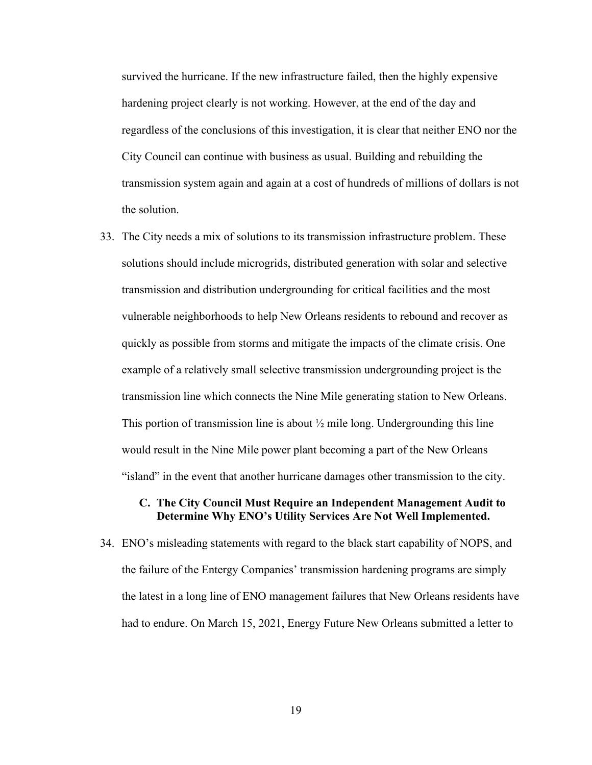survived the hurricane. If the new infrastructure failed, then the highly expensive hardening project clearly is not working. However, at the end of the day and regardless of the conclusions of this investigation, it is clear that neither ENO nor the City Council can continue with business as usual. Building and rebuilding the transmission system again and again at a cost of hundreds of millions of dollars is not the solution.

33. The City needs a mix of solutions to its transmission infrastructure problem. These solutions should include microgrids, distributed generation with solar and selective transmission and distribution undergrounding for critical facilities and the most vulnerable neighborhoods to help New Orleans residents to rebound and recover as quickly as possible from storms and mitigate the impacts of the climate crisis. One example of a relatively small selective transmission undergrounding project is the transmission line which connects the Nine Mile generating station to New Orleans. This portion of transmission line is about  $\frac{1}{2}$  mile long. Undergrounding this line would result in the Nine Mile power plant becoming a part of the New Orleans "island" in the event that another hurricane damages other transmission to the city.

#### **C. The City Council Must Require an Independent Management Audit to Determine Why ENO's Utility Services Are Not Well Implemented.**

34. ENO's misleading statements with regard to the black start capability of NOPS, and the failure of the Entergy Companies' transmission hardening programs are simply the latest in a long line of ENO management failures that New Orleans residents have had to endure. On March 15, 2021, Energy Future New Orleans submitted a letter to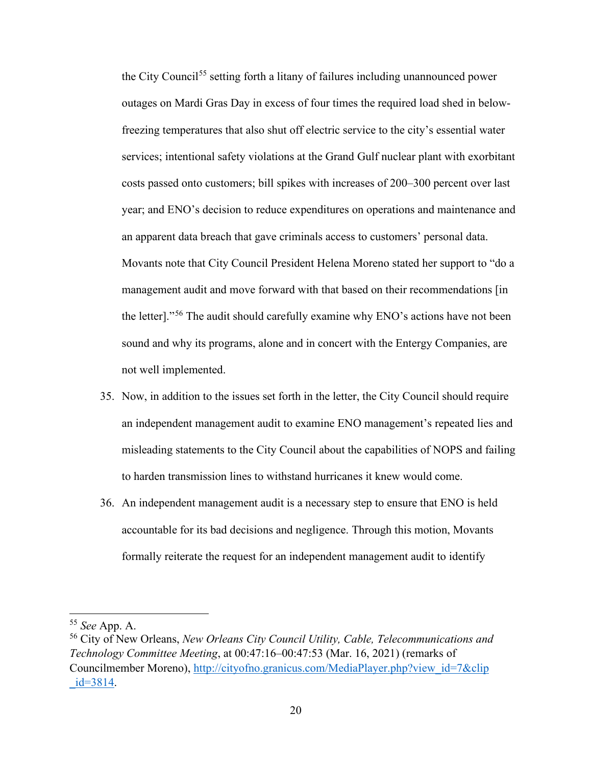the City Council<sup>[55](#page-20-0)</sup> setting forth a litany of failures including unannounced power outages on Mardi Gras Day in excess of four times the required load shed in belowfreezing temperatures that also shut off electric service to the city's essential water services; intentional safety violations at the Grand Gulf nuclear plant with exorbitant costs passed onto customers; bill spikes with increases of 200–300 percent over last year; and ENO's decision to reduce expenditures on operations and maintenance and an apparent data breach that gave criminals access to customers' personal data. Movants note that City Council President Helena Moreno stated her support to "do a management audit and move forward with that based on their recommendations [in the letter]."[56](#page-20-1) The audit should carefully examine why ENO's actions have not been sound and why its programs, alone and in concert with the Entergy Companies, are not well implemented.

- 35. Now, in addition to the issues set forth in the letter, the City Council should require an independent management audit to examine ENO management's repeated lies and misleading statements to the City Council about the capabilities of NOPS and failing to harden transmission lines to withstand hurricanes it knew would come.
- 36. An independent management audit is a necessary step to ensure that ENO is held accountable for its bad decisions and negligence. Through this motion, Movants formally reiterate the request for an independent management audit to identify

<span id="page-20-0"></span><sup>55</sup> *See* App. A.

<span id="page-20-1"></span><sup>56</sup> City of New Orleans, *New Orleans City Council Utility, Cable, Telecommunications and Technology Committee Meeting*, at 00:47:16–00:47:53 (Mar. 16, 2021) (remarks of Councilmember Moreno), [http://cityofno.granicus.com/MediaPlayer.php?view\\_id=7&clip](http://cityofno.granicus.com/MediaPlayer.php?v%E2%80%8Ciew_id=7&clip%E2%80%8C_id=3814)  $id = 3814.$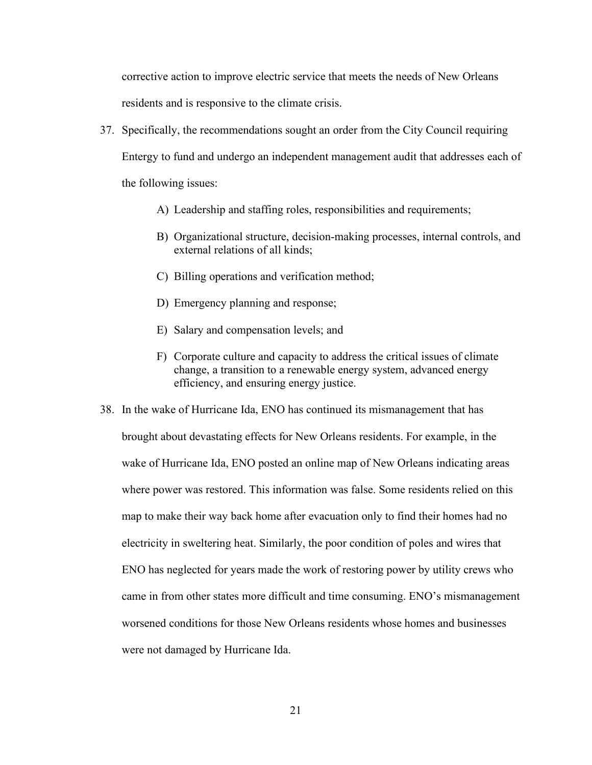corrective action to improve electric service that meets the needs of New Orleans residents and is responsive to the climate crisis.

- 37. Specifically, the recommendations sought an order from the City Council requiring Entergy to fund and undergo an independent management audit that addresses each of the following issues:
	- A) Leadership and staffing roles, responsibilities and requirements;
	- B) Organizational structure, decision-making processes, internal controls, and external relations of all kinds;
	- C) Billing operations and verification method;
	- D) Emergency planning and response;
	- E) Salary and compensation levels; and
	- F) Corporate culture and capacity to address the critical issues of climate change, a transition to a renewable energy system, advanced energy efficiency, and ensuring energy justice.
- 38. In the wake of Hurricane Ida, ENO has continued its mismanagement that has brought about devastating effects for New Orleans residents. For example, in the wake of Hurricane Ida, ENO posted an online map of New Orleans indicating areas where power was restored. This information was false. Some residents relied on this map to make their way back home after evacuation only to find their homes had no electricity in sweltering heat. Similarly, the poor condition of poles and wires that ENO has neglected for years made the work of restoring power by utility crews who came in from other states more difficult and time consuming. ENO's mismanagement worsened conditions for those New Orleans residents whose homes and businesses were not damaged by Hurricane Ida.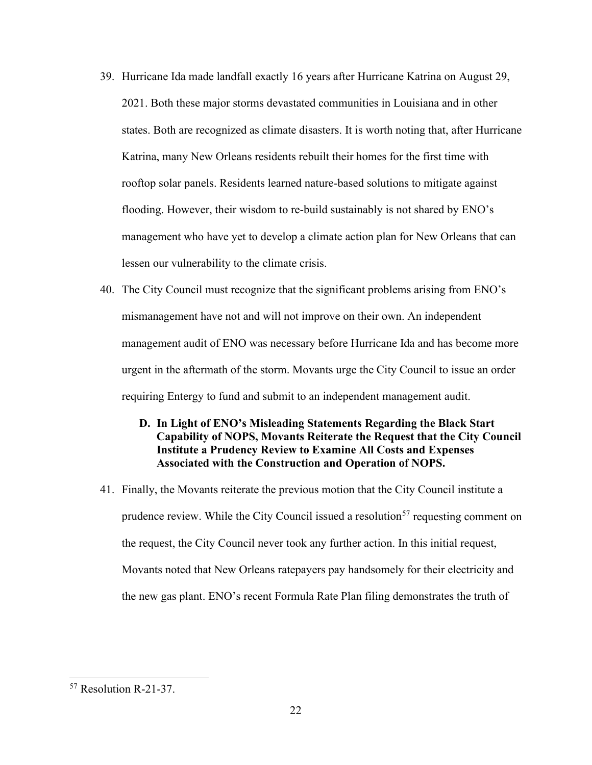- 39. Hurricane Ida made landfall exactly 16 years after Hurricane Katrina on August 29, 2021. Both these major storms devastated communities in Louisiana and in other states. Both are recognized as climate disasters. It is worth noting that, after Hurricane Katrina, many New Orleans residents rebuilt their homes for the first time with rooftop solar panels. Residents learned nature-based solutions to mitigate against flooding. However, their wisdom to re-build sustainably is not shared by ENO's management who have yet to develop a climate action plan for New Orleans that can lessen our vulnerability to the climate crisis.
- 40. The City Council must recognize that the significant problems arising from ENO's mismanagement have not and will not improve on their own. An independent management audit of ENO was necessary before Hurricane Ida and has become more urgent in the aftermath of the storm. Movants urge the City Council to issue an order requiring Entergy to fund and submit to an independent management audit.

### **D. In Light of ENO's Misleading Statements Regarding the Black Start Capability of NOPS, Movants Reiterate the Request that the City Council Institute a Prudency Review to Examine All Costs and Expenses Associated with the Construction and Operation of NOPS.**

41. Finally, the Movants reiterate the previous motion that the City Council institute a prudence review. While the City Council issued a resolution<sup>[57](#page-22-0)</sup> requesting comment on the request, the City Council never took any further action. In this initial request, Movants noted that New Orleans ratepayers pay handsomely for their electricity and the new gas plant. ENO's recent Formula Rate Plan filing demonstrates the truth of

<span id="page-22-0"></span><sup>57</sup> Resolution R-21-37.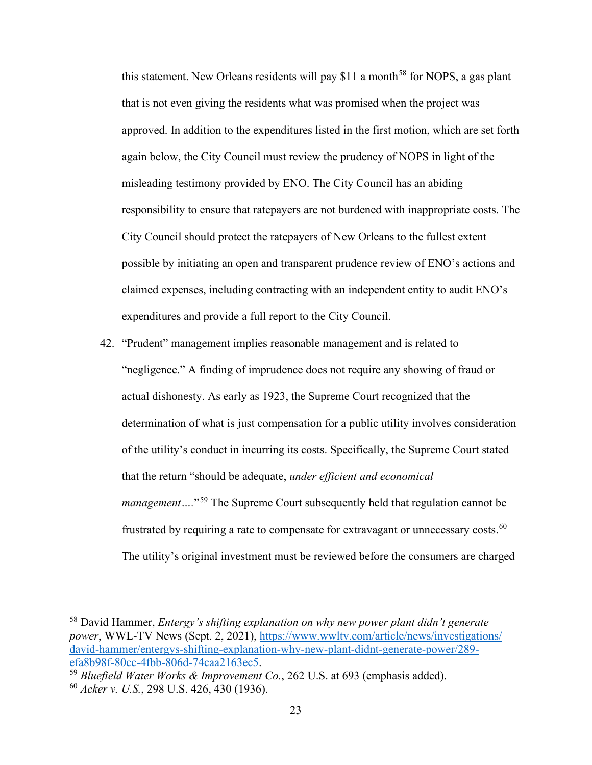this statement. New Orleans residents will pay  $$11$  a month<sup>[58](#page-23-0)</sup> for NOPS, a gas plant that is not even giving the residents what was promised when the project was approved. In addition to the expenditures listed in the first motion, which are set forth again below, the City Council must review the prudency of NOPS in light of the misleading testimony provided by ENO. The City Council has an abiding responsibility to ensure that ratepayers are not burdened with inappropriate costs. The City Council should protect the ratepayers of New Orleans to the fullest extent possible by initiating an open and transparent prudence review of ENO's actions and claimed expenses, including contracting with an independent entity to audit ENO's expenditures and provide a full report to the City Council.

42. "Prudent" management implies reasonable management and is related to "negligence." A finding of imprudence does not require any showing of fraud or actual dishonesty. As early as 1923, the Supreme Court recognized that the determination of what is just compensation for a public utility involves consideration of the utility's conduct in incurring its costs. Specifically, the Supreme Court stated that the return "should be adequate, *under efficient and economical management*....<sup>"[59](#page-23-1)</sup> The Supreme Court subsequently held that regulation cannot be frustrated by requiring a rate to compensate for extravagant or unnecessary costs.<sup>[60](#page-23-2)</sup> The utility's original investment must be reviewed before the consumers are charged

<span id="page-23-0"></span><sup>58</sup> David Hammer, *Entergy's shifting explanation on why new power plant didn't generate power*, WWL-TV News (Sept. 2, 2021), [https://www.wwltv.com/article/news/investigations/](https://www.wwltv.com/article/news/investigations/david-hammer/entergys-shifting-explanation-why-new-plant-didnt-generate-power/289-efa8b98f-80cc-4fbb-806d-74caa2163ec5) [david-hammer/entergys-shifting-explanation-why-new-plant-didnt-generate-power/289](https://www.wwltv.com/article/news/investigations/david-hammer/entergys-shifting-explanation-why-new-plant-didnt-generate-power/289-efa8b98f-80cc-4fbb-806d-74caa2163ec5) [efa8b98f-80cc-4fbb-806d-74caa2163ec5.](https://www.wwltv.com/article/news/investigations/david-hammer/entergys-shifting-explanation-why-new-plant-didnt-generate-power/289-efa8b98f-80cc-4fbb-806d-74caa2163ec5) 59 *Bluefield Water Works & Improvement Co.*, 262 U.S. at 693 (emphasis added).

<span id="page-23-2"></span><span id="page-23-1"></span><sup>60</sup> *Acker v. U.S.*, 298 U.S. 426, 430 (1936).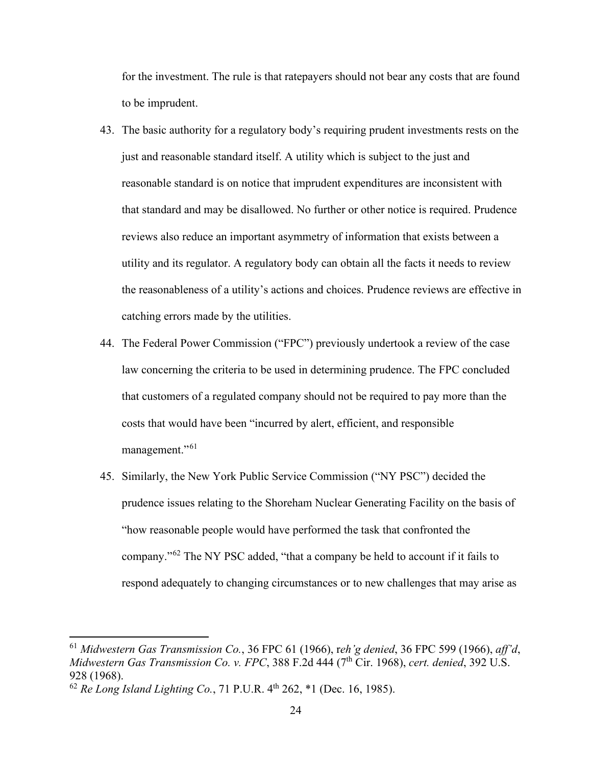for the investment. The rule is that ratepayers should not bear any costs that are found to be imprudent.

- 43. The basic authority for a regulatory body's requiring prudent investments rests on the just and reasonable standard itself. A utility which is subject to the just and reasonable standard is on notice that imprudent expenditures are inconsistent with that standard and may be disallowed. No further or other notice is required. Prudence reviews also reduce an important asymmetry of information that exists between a utility and its regulator. A regulatory body can obtain all the facts it needs to review the reasonableness of a utility's actions and choices. Prudence reviews are effective in catching errors made by the utilities.
- 44. The Federal Power Commission ("FPC") previously undertook a review of the case law concerning the criteria to be used in determining prudence. The FPC concluded that customers of a regulated company should not be required to pay more than the costs that would have been "incurred by alert, efficient, and responsible management."<sup>[61](#page-24-0)</sup>
- 45. Similarly, the New York Public Service Commission ("NY PSC") decided the prudence issues relating to the Shoreham Nuclear Generating Facility on the basis of "how reasonable people would have performed the task that confronted the company."[62](#page-24-1) The NY PSC added, "that a company be held to account if it fails to respond adequately to changing circumstances or to new challenges that may arise as

<span id="page-24-0"></span><sup>61</sup> *Midwestern Gas Transmission Co.*, 36 FPC 61 (1966), r*eh'g denied*, 36 FPC 599 (1966), *aff'd*, *Midwestern Gas Transmission Co. v. FPC*, 388 F.2d 444 (7th Cir. 1968), *cert. denied*, 392 U.S. 928 (1968).

<span id="page-24-1"></span> $\frac{62}{326}$  (1588).<br> $\frac{62}{32}$  *Re Long Island Lighting Co.*, 71 P.U.R. 4<sup>th</sup> 262, \*1 (Dec. 16, 1985).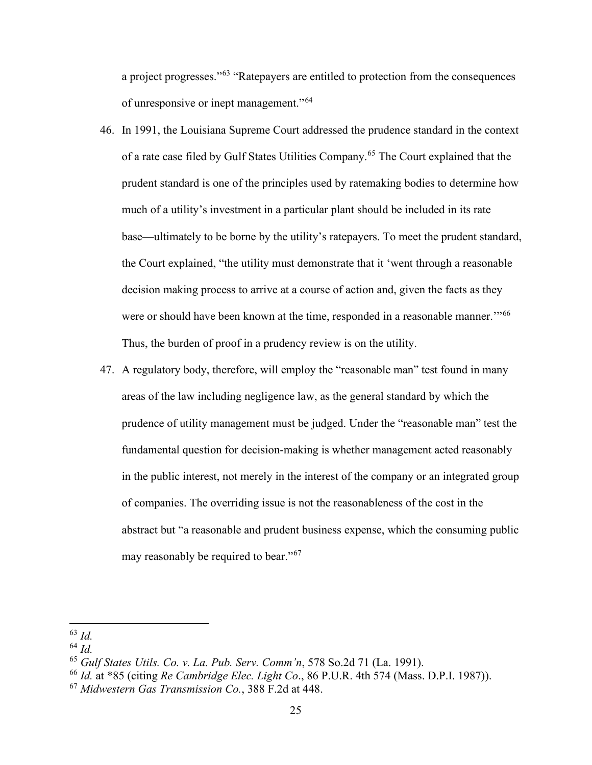a project progresses."[63](#page-25-0) "Ratepayers are entitled to protection from the consequences of unresponsive or inept management."[64](#page-25-1)

- 46. In 1991, the Louisiana Supreme Court addressed the prudence standard in the context of a rate case filed by Gulf States Utilities Company.[65](#page-25-2) The Court explained that the prudent standard is one of the principles used by ratemaking bodies to determine how much of a utility's investment in a particular plant should be included in its rate base—ultimately to be borne by the utility's ratepayers. To meet the prudent standard, the Court explained, "the utility must demonstrate that it 'went through a reasonable decision making process to arrive at a course of action and, given the facts as they were or should have been known at the time, responded in a reasonable manner."<sup>[66](#page-25-3)</sup> Thus, the burden of proof in a prudency review is on the utility.
- 47. A regulatory body, therefore, will employ the "reasonable man" test found in many areas of the law including negligence law, as the general standard by which the prudence of utility management must be judged. Under the "reasonable man" test the fundamental question for decision-making is whether management acted reasonably in the public interest, not merely in the interest of the company or an integrated group of companies. The overriding issue is not the reasonableness of the cost in the abstract but "a reasonable and prudent business expense, which the consuming public may reasonably be required to bear."<sup>[67](#page-25-4)</sup>

<span id="page-25-0"></span><sup>63</sup> *Id.* 

<span id="page-25-1"></span><sup>64</sup> *Id.*

<span id="page-25-2"></span><sup>65</sup> *Gulf States Utils. Co. v. La. Pub. Serv. Comm'n*, 578 So.2d 71 (La. 1991).

<span id="page-25-3"></span><sup>66</sup> *Id.* at \*85 (citing *Re Cambridge Elec. Light Co*., 86 P.U.R. 4th 574 (Mass. D.P.I. 1987)).

<span id="page-25-4"></span><sup>67</sup> *Midwestern Gas Transmission Co.*, 388 F.2d at 448.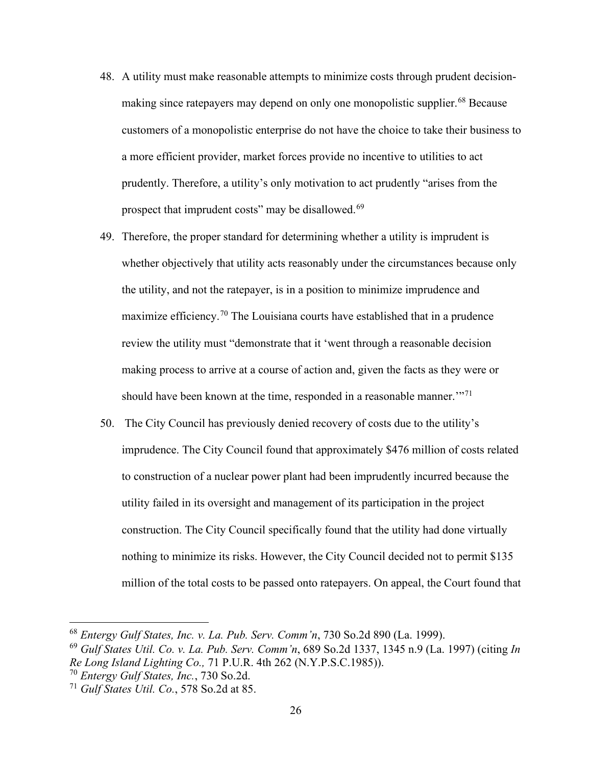- 48. A utility must make reasonable attempts to minimize costs through prudent decision-making since ratepayers may depend on only one monopolistic supplier.<sup>[68](#page-26-0)</sup> Because customers of a monopolistic enterprise do not have the choice to take their business to a more efficient provider, market forces provide no incentive to utilities to act prudently. Therefore, a utility's only motivation to act prudently "arises from the prospect that imprudent costs" may be disallowed.<sup>[69](#page-26-1)</sup>
- 49. Therefore, the proper standard for determining whether a utility is imprudent is whether objectively that utility acts reasonably under the circumstances because only the utility, and not the ratepayer, is in a position to minimize imprudence and maximize efficiency.<sup>[70](#page-26-2)</sup> The Louisiana courts have established that in a prudence review the utility must "demonstrate that it 'went through a reasonable decision making process to arrive at a course of action and, given the facts as they were or should have been known at the time, responded in a reasonable manner."<sup>[71](#page-26-3)</sup>
- 50. The City Council has previously denied recovery of costs due to the utility's imprudence. The City Council found that approximately \$476 million of costs related to construction of a nuclear power plant had been imprudently incurred because the utility failed in its oversight and management of its participation in the project construction. The City Council specifically found that the utility had done virtually nothing to minimize its risks. However, the City Council decided not to permit \$135 million of the total costs to be passed onto ratepayers. On appeal, the Court found that

<span id="page-26-0"></span><sup>68</sup> *Entergy Gulf States, Inc. v. La. Pub. Serv. Comm'n*, 730 So.2d 890 (La. 1999).

<span id="page-26-1"></span><sup>69</sup> *Gulf States Util. Co. v. La. Pub. Serv. Comm'n*, 689 So.2d 1337, 1345 n.9 (La. 1997) (citing *In Re Long Island Lighting Co.,* 71 P.U.R. 4th 262 (N.Y.P.S.C.1985)).

<span id="page-26-2"></span><sup>70</sup> *Entergy Gulf States, Inc.*, 730 So.2d.

<span id="page-26-3"></span><sup>71</sup> *Gulf States Util. Co.*, 578 So.2d at 85.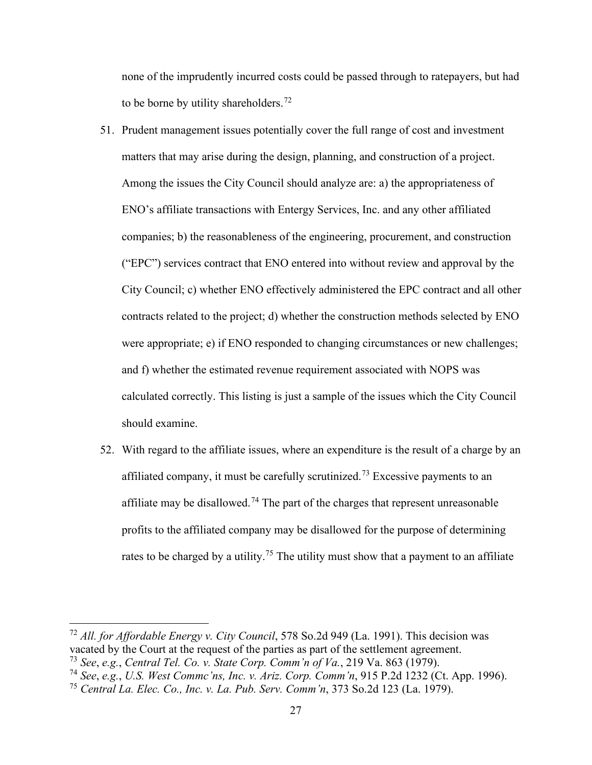none of the imprudently incurred costs could be passed through to ratepayers, but had to be borne by utility shareholders.<sup>[72](#page-27-0)</sup>

- 51. Prudent management issues potentially cover the full range of cost and investment matters that may arise during the design, planning, and construction of a project. Among the issues the City Council should analyze are: a) the appropriateness of ENO's affiliate transactions with Entergy Services, Inc. and any other affiliated companies; b) the reasonableness of the engineering, procurement, and construction ("EPC") services contract that ENO entered into without review and approval by the City Council; c) whether ENO effectively administered the EPC contract and all other contracts related to the project; d) whether the construction methods selected by ENO were appropriate; e) if ENO responded to changing circumstances or new challenges; and f) whether the estimated revenue requirement associated with NOPS was calculated correctly. This listing is just a sample of the issues which the City Council should examine.
- 52. With regard to the affiliate issues, where an expenditure is the result of a charge by an affiliated company, it must be carefully scrutinized.<sup>[73](#page-27-1)</sup> Excessive payments to an affiliate may be disallowed.<sup>[74](#page-27-2)</sup> The part of the charges that represent unreasonable profits to the affiliated company may be disallowed for the purpose of determining rates to be charged by a utility.<sup>[75](#page-27-3)</sup> The utility must show that a payment to an affiliate

<span id="page-27-0"></span><sup>72</sup> *All. for Affordable Energy v. City Council*, 578 So.2d 949 (La. 1991). This decision was vacated by the Court at the request of the parties as part of the settlement agreement.

<span id="page-27-1"></span><sup>73</sup> *See*, *e.g.*, *Central Tel. Co. v. State Corp. Comm'n of Va.*, 219 Va. 863 (1979).

<span id="page-27-2"></span><sup>74</sup> *See*, *e.g.*, *U.S. West Commc'ns, Inc. v. Ariz. Corp. Comm'n*, 915 P.2d 1232 (Ct. App. 1996).

<span id="page-27-3"></span><sup>75</sup> *Central La. Elec. Co., Inc. v. La. Pub. Serv. Comm'n*, 373 So.2d 123 (La. 1979).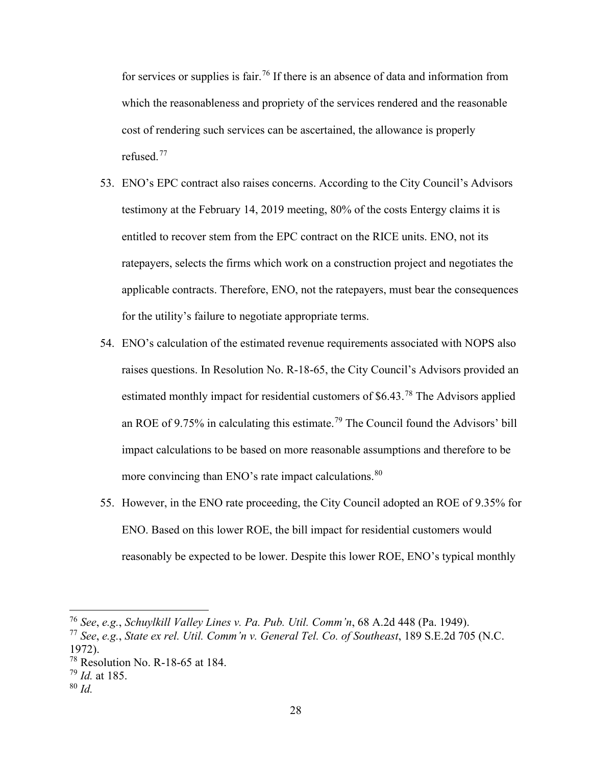for services or supplies is fair.<sup>[76](#page-28-0)</sup> If there is an absence of data and information from which the reasonableness and propriety of the services rendered and the reasonable cost of rendering such services can be ascertained, the allowance is properly refused.[77](#page-28-1)

- 53. ENO's EPC contract also raises concerns. According to the City Council's Advisors testimony at the February 14, 2019 meeting, 80% of the costs Entergy claims it is entitled to recover stem from the EPC contract on the RICE units. ENO, not its ratepayers, selects the firms which work on a construction project and negotiates the applicable contracts. Therefore, ENO, not the ratepayers, must bear the consequences for the utility's failure to negotiate appropriate terms.
- 54. ENO's calculation of the estimated revenue requirements associated with NOPS also raises questions. In Resolution No. R-18-65, the City Council's Advisors provided an estimated monthly impact for residential customers of \$6.43.[78](#page-28-2) The Advisors applied an ROE of 9.75% in calculating this estimate.[79](#page-28-3) The Council found the Advisors' bill impact calculations to be based on more reasonable assumptions and therefore to be more convincing than ENO's rate impact calculations.<sup>[80](#page-28-4)</sup>
- 55. However, in the ENO rate proceeding, the City Council adopted an ROE of 9.35% for ENO. Based on this lower ROE, the bill impact for residential customers would reasonably be expected to be lower. Despite this lower ROE, ENO's typical monthly

<span id="page-28-0"></span><sup>76</sup> *See*, *e.g.*, *Schuylkill Valley Lines v. Pa. Pub. Util. Comm'n*, 68 A.2d 448 (Pa. 1949).

<span id="page-28-1"></span><sup>77</sup> *See*, *e.g.*, *State ex rel. Util. Comm'n v. General Tel. Co. of Southeast*, 189 S.E.2d 705 (N.C. 1972).

<span id="page-28-2"></span> $78$  Resolution No. R-18-65 at 184.

<span id="page-28-3"></span><sup>79</sup> *Id.* at 185.

<span id="page-28-4"></span><sup>80</sup> *Id.*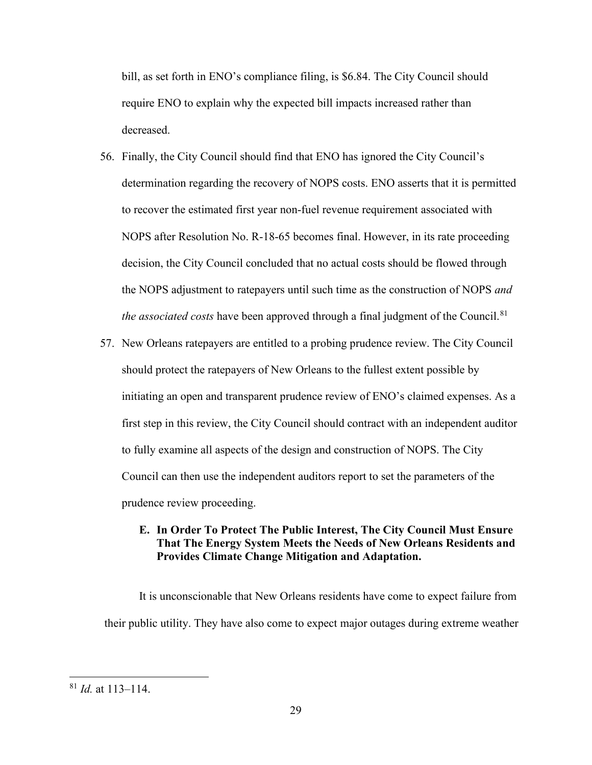bill, as set forth in ENO's compliance filing, is \$6.84. The City Council should require ENO to explain why the expected bill impacts increased rather than decreased.

- 56. Finally, the City Council should find that ENO has ignored the City Council's determination regarding the recovery of NOPS costs. ENO asserts that it is permitted to recover the estimated first year non-fuel revenue requirement associated with NOPS after Resolution No. R-18-65 becomes final. However, in its rate proceeding decision, the City Council concluded that no actual costs should be flowed through the NOPS adjustment to ratepayers until such time as the construction of NOPS *and the associated costs* have been approved through a final judgment of the Council.<sup>[81](#page-29-0)</sup>
- 57. New Orleans ratepayers are entitled to a probing prudence review. The City Council should protect the ratepayers of New Orleans to the fullest extent possible by initiating an open and transparent prudence review of ENO's claimed expenses. As a first step in this review, the City Council should contract with an independent auditor to fully examine all aspects of the design and construction of NOPS. The City Council can then use the independent auditors report to set the parameters of the prudence review proceeding.

### **E. In Order To Protect The Public Interest, The City Council Must Ensure That The Energy System Meets the Needs of New Orleans Residents and Provides Climate Change Mitigation and Adaptation.**

It is unconscionable that New Orleans residents have come to expect failure from their public utility. They have also come to expect major outages during extreme weather

<span id="page-29-0"></span><sup>81</sup> *Id.* at 113–114.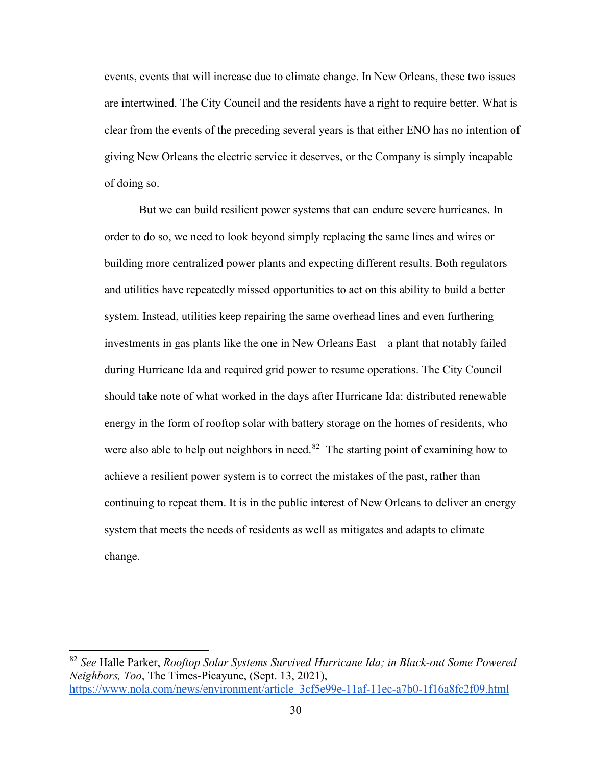events, events that will increase due to climate change. In New Orleans, these two issues are intertwined. The City Council and the residents have a right to require better. What is clear from the events of the preceding several years is that either ENO has no intention of giving New Orleans the electric service it deserves, or the Company is simply incapable of doing so.

But we can build resilient power systems that can endure severe hurricanes. In order to do so, we need to look beyond simply replacing the same lines and wires or building more centralized power plants and expecting different results. Both regulators and utilities have repeatedly missed opportunities to act on this ability to build a better system. Instead, utilities keep repairing the same overhead lines and even furthering investments in gas plants like the one in New Orleans East—a plant that notably failed during Hurricane Ida and required grid power to resume operations. The City Council should take note of what worked in the days after Hurricane Ida: distributed renewable energy in the form of rooftop solar with battery storage on the homes of residents, who were also able to help out neighbors in need.<sup>[82](#page-30-0)</sup> The starting point of examining how to achieve a resilient power system is to correct the mistakes of the past, rather than continuing to repeat them. It is in the public interest of New Orleans to deliver an energy system that meets the needs of residents as well as mitigates and adapts to climate change.

<span id="page-30-0"></span><sup>82</sup> *See* Halle Parker, *Rooftop Solar Systems Survived Hurricane Ida; in Black-out Some Powered Neighbors, Too*, The Times-Picayune, (Sept. 13, 2021), [https://www.nola.com/news/environment/article\\_3cf5e99e-11af-11ec-a7b0-1f16a8fc2f09.html](https://nam04.safelinks.protection.outlook.com/?url=https%3A%2F%2Fwww.nola.com%2Fnews%2Fenvironment%2Farticle_3cf5e99e-11af-11ec-a7b0-1f16a8fc2f09.html&data=04%7C01%7Csmiller%40earthjustice.org%7C35c6872dd9da44a595b708d976d4e9e2%7Cadedb458e8e34c4e9bedfa792af66cb6%7C0%7C0%7C637671479107821887%7CUnknown%7CTWFpbGZsb3d8eyJWIjoiMC4wLjAwMDAiLCJQIjoiV2luMzIiLCJBTiI6Ik1haWwiLCJXVCI6Mn0%3D%7C1000&sdata=SACP77vJW16omqkNxyMxqTg21c%2F5Q1Em33gIvzDysrA%3D&reserved=0)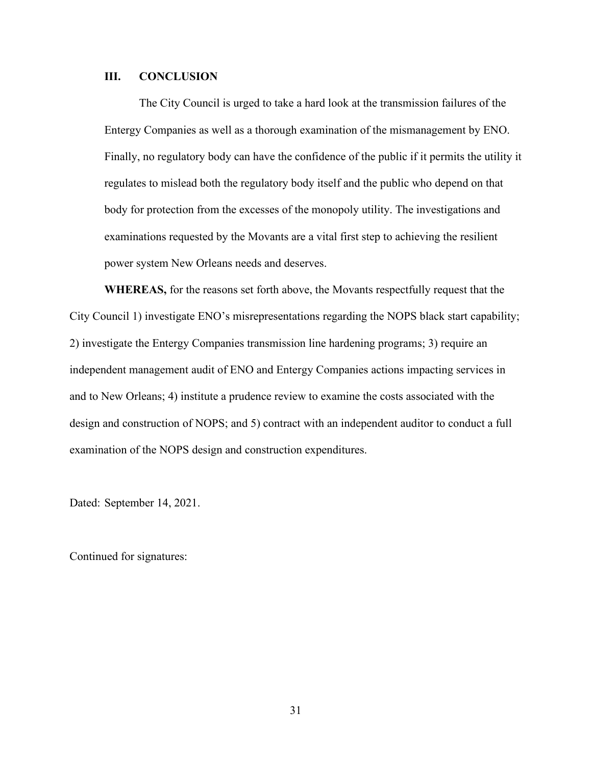#### **III. CONCLUSION**

The City Council is urged to take a hard look at the transmission failures of the Entergy Companies as well as a thorough examination of the mismanagement by ENO. Finally, no regulatory body can have the confidence of the public if it permits the utility it regulates to mislead both the regulatory body itself and the public who depend on that body for protection from the excesses of the monopoly utility. The investigations and examinations requested by the Movants are a vital first step to achieving the resilient power system New Orleans needs and deserves.

 **WHEREAS,** for the reasons set forth above, the Movants respectfully request that the City Council 1) investigate ENO's misrepresentations regarding the NOPS black start capability; 2) investigate the Entergy Companies transmission line hardening programs; 3) require an independent management audit of ENO and Entergy Companies actions impacting services in and to New Orleans; 4) institute a prudence review to examine the costs associated with the design and construction of NOPS; and 5) contract with an independent auditor to conduct a full examination of the NOPS design and construction expenditures.

Dated: September 14, 2021.

Continued for signatures: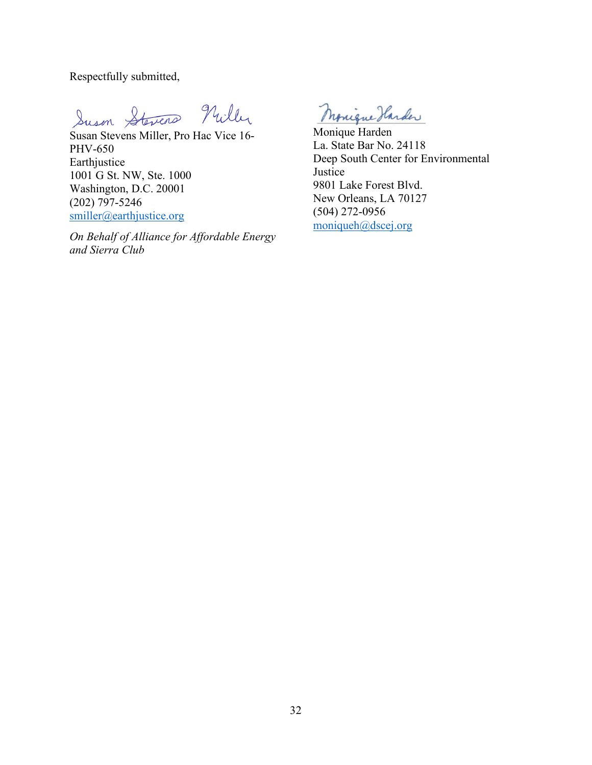Respectfully submitted,

Suson Stevens Nuller

Susan Stevens Miller, Pro Hac Vice 16- PHV-650 Earthjustice 1001 G St. NW, Ste. 1000 Washington, D.C. 20001 (202) 797-5246 [smiller@earthjustice.org](mailto:smiller@earthjustice.org)

*On Behalf of Alliance for Affordable Energy and Sierra Club*

Monique Harder

Monique Harden La. State Bar No. 24118 Deep South Center for Environmental Justice 9801 Lake Forest Blvd. New Orleans, LA 70127 (504) 272-0956 [moniqueh@dscej.org](mailto:moniqueh@dscej.org)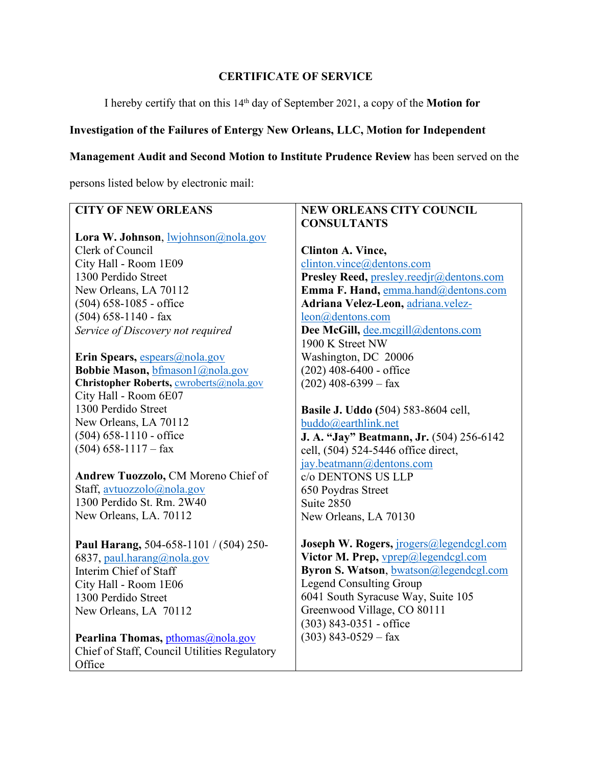# **CERTIFICATE OF SERVICE**

I hereby certify that on this 14th day of September 2021, a copy of the **Motion for** 

# **Investigation of the Failures of Entergy New Orleans, LLC, Motion for Independent**

# **Management Audit and Second Motion to Institute Prudence Review** has been served on the

persons listed below by electronic mail:

| <b>CITY OF NEW ORLEANS</b>                      | <b>NEW ORLEANS CITY COUNCIL</b>            |
|-------------------------------------------------|--------------------------------------------|
|                                                 | <b>CONSULTANTS</b>                         |
| Lora W. Johnson, <i>wiohnson@nola.gov</i>       |                                            |
| Clerk of Council                                | <b>Clinton A. Vince,</b>                   |
| City Hall - Room 1E09                           | clinton.vince@dentons.com                  |
| 1300 Perdido Street                             | Presley Reed, presley.reedjr@dentons.com   |
| New Orleans, LA 70112                           | Emma F. Hand, emma.hand@dentons.com        |
| $(504)$ 658-1085 - office                       | Adriana Velez-Leon, adriana.velez-         |
| $(504)$ 658-1140 - fax                          | leon@dentons.com                           |
| Service of Discovery not required               | Dee McGill, dee.mcgill@dentons.com         |
|                                                 | 1900 K Street NW                           |
| Erin Spears, espears@nola.gov                   | Washington, DC 20006                       |
| Bobbie Mason, bfmason1@nola.gov                 | $(202)$ 408-6400 - office                  |
| Christopher Roberts, <b>cwroberts</b> @nola.gov | $(202)$ 408-6399 – fax                     |
| City Hall - Room 6E07                           |                                            |
| 1300 Perdido Street                             | <b>Basile J. Uddo</b> (504) 583-8604 cell, |
| New Orleans, LA 70112                           | buddo@earthlink.net                        |
| $(504)$ 658-1110 - office                       | J. A. "Jay" Beatmann, Jr. (504) 256-6142   |
| $(504)$ 658-1117 – fax                          | cell, (504) 524-5446 office direct,        |
|                                                 | jay.beatmann@dentons.com                   |
| Andrew Tuozzolo, CM Moreno Chief of             | c/o DENTONS US LLP                         |
| Staff, avtuozzolo@nola.gov                      | 650 Poydras Street                         |
| 1300 Perdido St. Rm. 2W40                       | Suite 2850                                 |
| New Orleans, LA. 70112                          | New Orleans, LA 70130                      |
|                                                 |                                            |
| Paul Harang, 504-658-1101 / (504) 250-          | Joseph W. Rogers, jrogers@legendcgl.com    |
| 6837, paul.harang@nola.gov                      | Victor M. Prep, <b>vprep@legendcgl.com</b> |
| Interim Chief of Staff                          | Byron S. Watson, bwatson@legendcgl.com     |
| City Hall - Room 1E06                           | <b>Legend Consulting Group</b>             |
| 1300 Perdido Street                             | 6041 South Syracuse Way, Suite 105         |
| New Orleans, LA 70112                           | Greenwood Village, CO 80111                |
|                                                 | $(303)$ 843-0351 - office                  |
| Pearlina Thomas, pthomas@nola.gov               | $(303)$ 843-0529 – fax                     |
| Chief of Staff, Council Utilities Regulatory    |                                            |
| Office                                          |                                            |
|                                                 |                                            |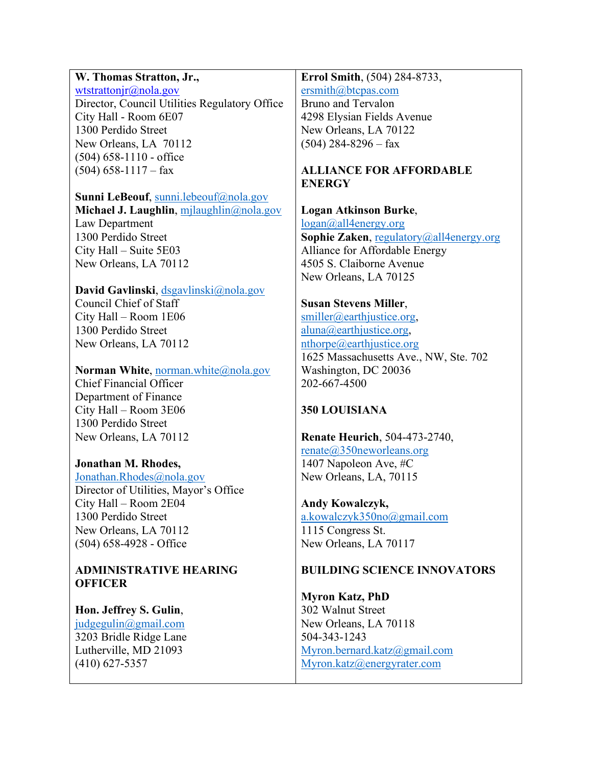# **W. Thomas Stratton, Jr.,**

[wtstrattonjr@nola.gov](mailto:wtstrattonjr@nola.gov) Director, Council Utilities Regulatory Office City Hall - Room 6E07 1300 Perdido Street New Orleans, LA 70112 (504) 658-1110 - office  $(504)$  658-1117 – fax

**Sunni LeBeouf**, [sunni.lebeouf@nola.gov](mailto:sunni.lebeouf@nola.gov) **Michael J. Laughlin**, [mjlaughlin@nola.gov](mailto:mjlaughlin@nola.gov) Law Department 1300 Perdido Street City Hall – Suite 5E03 New Orleans, LA 70112

**David Gavlinski**, [dsgavlinski@nola.gov](mailto:dsgavlinski@nola.gov) Council Chief of Staff City Hall – Room 1E06 1300 Perdido Street New Orleans, LA 70112

**Norman White, [norman.white@nola.gov](mailto:norman.white@nola.gov)** Chief Financial Officer Department of Finance

City Hall – Room 3E06 1300 Perdido Street New Orleans, LA 70112

### **Jonathan M. Rhodes,**

[Jonathan.Rhodes@nola.gov](mailto:Jonathan.Rhodes@nola.gov) Director of Utilities, Mayor's Office City Hall – Room 2E04 1300 Perdido Street New Orleans, LA 70112 (504) 658-4928 - Office

# **ADMINISTRATIVE HEARING OFFICER**

**Hon. Jeffrey S. Gulin**, [judgegulin@gmail.com](mailto:judgegulin@gmail.com)

3203 Bridle Ridge Lane Lutherville, MD 21093 (410) 627-5357

**Errol Smith**, (504) 284-8733, [ersmith@btcpas.com](mailto:ersmith@btcpas.com) Bruno and Tervalon 4298 Elysian Fields Avenue New Orleans, LA 70122  $(504)$  284-8296 – fax

# **ALLIANCE FOR AFFORDABLE ENERGY**

### **Logan Atkinson Burke**,

[logan@all4energy.org](mailto:logan@all4energy.org) **Sophie Zaken**, [regulatory@all4energy.org](mailto:regulatory@all4energy.org) Alliance for Affordable Energy 4505 S. Claiborne Avenue New Orleans, LA 70125

# **Susan Stevens Miller**,

[smiller@earthjustice.org,](mailto:smiller@earthjustice.org) [aluna@earthjustice.org,](mailto:aluna@earthjustice.org) [nthorpe@earthjustice.org](mailto:nthorpe@earthjustice.org) 1625 Massachusetts Ave., NW, Ste. 702 Washington, DC 20036 202-667-4500

# **350 LOUISIANA**

**Renate Heurich**, 504-473-2740, renate@350neworleans.org

1407 Napoleon Ave, #C New Orleans, LA, 70115

### **Andy Kowalczyk,**

[a.kowalczyk350no@gmail.com](mailto:a.kowalczyk350no@gmail.com) 1115 Congress St. New Orleans, LA 70117

# **BUILDING SCIENCE INNOVATORS**

**Myron Katz, PhD**  302 Walnut Street New Orleans, LA 70118 504-343-1243 [Myron.bernard.katz@gmail.com](mailto:Myron.bernard.katz@gmail.com) [Myron.katz@energyrater.com](mailto:Myron.katz@energyrater.com)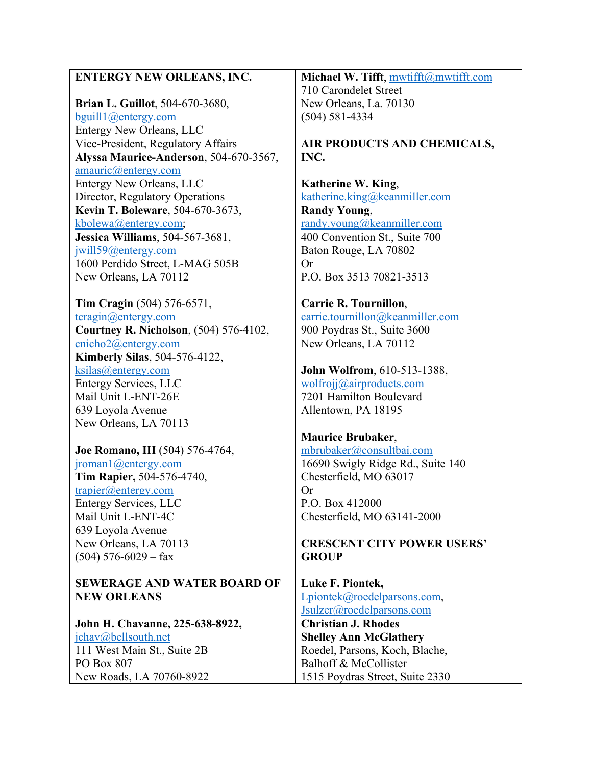| <b>ENTERGY NEW ORLEANS, INC.</b>        | Michael W. Tifft, mwtifft@mwtifft.com |
|-----------------------------------------|---------------------------------------|
|                                         | 710 Carondelet Street                 |
| <b>Brian L. Guillot</b> , 504-670-3680, | New Orleans, La. 70130                |
| $b$ guill1@entergy.com                  | $(504) 581 - 4334$                    |
| Entergy New Orleans, LLC                |                                       |
| Vice-President, Regulatory Affairs      | AIR PRODUCTS AND CHEMICALS,           |
| Alyssa Maurice-Anderson, 504-670-3567,  | INC.                                  |
| amauric@entropy.com                     |                                       |
| Entergy New Orleans, LLC                | Katherine W. King,                    |
| Director, Regulatory Operations         | katherine.king@keanmiller.com         |
| Kevin T. Boleware, 504-670-3673,        | <b>Randy Young,</b>                   |
| kbolewa@entergy.com;                    | randy.young@keanmiller.com            |
| Jessica Williams, 504-567-3681,         | 400 Convention St., Suite 700         |
| $j$ will59@entergy.com                  | Baton Rouge, LA 70802                 |
| 1600 Perdido Street, L-MAG 505B         | <b>Or</b>                             |
| New Orleans, LA 70112                   | P.O. Box 3513 70821-3513              |
|                                         |                                       |
| Tim Cragin (504) 576-6571,              | Carrie R. Tournillon,                 |
| $\frac{\text{tcragin}(a)$ entergy.com   | carrie.tournillon@keanmiller.com      |
| Courtney R. Nicholson, (504) 576-4102,  | 900 Poydras St., Suite 3600           |
| cnicho2@entergy.com                     | New Orleans, LA 70112                 |
| Kimberly Silas, 504-576-4122,           |                                       |
| ksilas@entergy.com                      | John Wolfrom, 610-513-1388,           |
| <b>Entergy Services, LLC</b>            | wolfrojj@airproducts.com              |
| Mail Unit L-ENT-26E                     | 7201 Hamilton Boulevard               |
| 639 Loyola Avenue                       | Allentown, PA 18195                   |
| New Orleans, LA 70113                   |                                       |
|                                         | <b>Maurice Brubaker,</b>              |
| Joe Romano, III (504) 576-4764,         | mbrubaker@consultbai.com              |
| $jroman 1$ ( <i>a</i> ) entergy.com     | 16690 Swigly Ridge Rd., Suite 140     |
| Tim Rapier, 504-576-4740,               | Chesterfield, MO 63017                |
| trapier@entropy.com                     | <b>Or</b>                             |
| Entergy Services, LLC                   | P.O. Box 412000                       |
| Mail Unit L-ENT-4C                      | Chesterfield, MO 63141-2000           |
| 639 Loyola Avenue                       |                                       |
| New Orleans, LA 70113                   | <b>CRESCENT CITY POWER USERS'</b>     |
| $(504)$ 576-6029 – fax                  | <b>GROUP</b>                          |

**SEWERAGE AND WATER BOARD OF NEW ORLEANS**

**John H. Chavanne, 225-638-8922,**  [jchav@bellsouth.net](mailto:jchav@bellsouth.net) 111 West Main St., Suite 2B PO Box 807 New Roads, LA 70760-8922

**Luke F. Piontek,**  [Lpiontek@roedelparsons.com,](mailto:Lpiontek@roedelparsons.com) [Jsulzer@roedelparsons.com](mailto:Jsulzer@roedelparsons.com)

**Christian J. Rhodes Shelley Ann McGlathery**  Roedel, Parsons, Koch, Blache, Balhoff & McCollister 1515 Poydras Street, Suite 2330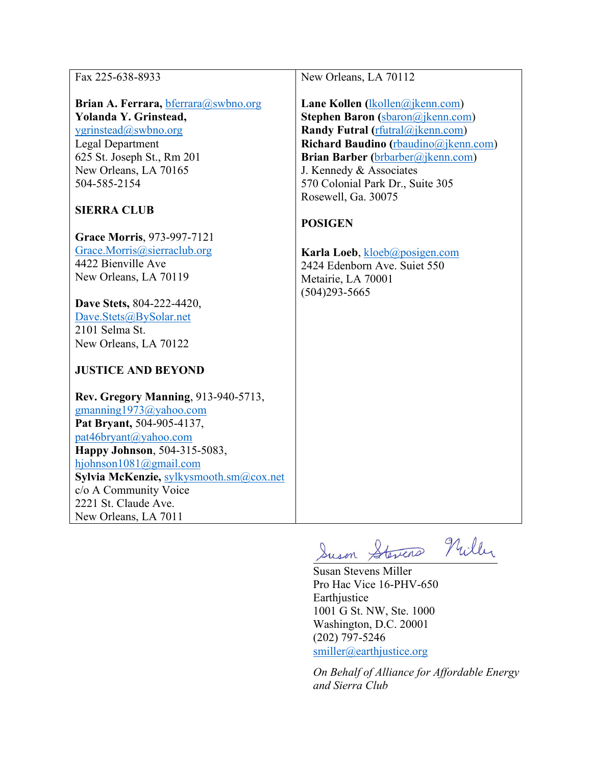| Fax 225-638-8933<br>Brian A. Ferrara, bferrara@swbno.org<br>Yolanda Y. Grinstead,<br>ygrinstead@swbno.org<br>Legal Department<br>625 St. Joseph St., Rm 201<br>New Orleans, LA 70165<br>504-585-2154<br><b>SIERRA CLUB</b><br>Grace Morris, 973-997-7121<br>Grace.Morris@sierraclub.org<br>4422 Bienville Ave<br>New Orleans, LA 70119<br>Dave Stets, 804-222-4420,<br>Dave.Stets@BySolar.net<br>2101 Selma St.<br>New Orleans, LA 70122<br><b>JUSTICE AND BEYOND</b><br>Rev. Gregory Manning, 913-940-5713, | New Orleans, LA 70112<br>Lane Kollen $(1 \text{kollen}(\hat{a})$ ikenn.com)<br><b>Stephen Baron</b> (sbaron@jkenn.com)<br>Randy Futral (rfutral@jkenn.com)<br>Richard Baudino (rbaudino@jkenn.com)<br>Brian Barber (brbarber@jkenn.com)<br>J. Kennedy & Associates<br>570 Colonial Park Dr., Suite 305<br>Rosewell, Ga. 30075<br><b>POSIGEN</b><br>Karla Loeb, kloeb@posigen.com<br>2424 Edenborn Ave. Suiet 550<br>Metairie, LA 70001<br>$(504)293 - 5665$ |
|--------------------------------------------------------------------------------------------------------------------------------------------------------------------------------------------------------------------------------------------------------------------------------------------------------------------------------------------------------------------------------------------------------------------------------------------------------------------------------------------------------------|-------------------------------------------------------------------------------------------------------------------------------------------------------------------------------------------------------------------------------------------------------------------------------------------------------------------------------------------------------------------------------------------------------------------------------------------------------------|
| gmanning1973@yahoo.com                                                                                                                                                                                                                                                                                                                                                                                                                                                                                       |                                                                                                                                                                                                                                                                                                                                                                                                                                                             |
| Pat Bryant, 504-905-4137,                                                                                                                                                                                                                                                                                                                                                                                                                                                                                    |                                                                                                                                                                                                                                                                                                                                                                                                                                                             |
| pat46bryant@yahoo.com                                                                                                                                                                                                                                                                                                                                                                                                                                                                                        |                                                                                                                                                                                                                                                                                                                                                                                                                                                             |
| Happy Johnson, 504-315-5083,<br>hjohnson1081@gmail.com                                                                                                                                                                                                                                                                                                                                                                                                                                                       |                                                                                                                                                                                                                                                                                                                                                                                                                                                             |
| Sylvia McKenzie, sylkysmooth.sm@cox.net                                                                                                                                                                                                                                                                                                                                                                                                                                                                      |                                                                                                                                                                                                                                                                                                                                                                                                                                                             |
| c/o A Community Voice                                                                                                                                                                                                                                                                                                                                                                                                                                                                                        |                                                                                                                                                                                                                                                                                                                                                                                                                                                             |
| 2221 St. Claude Ave.                                                                                                                                                                                                                                                                                                                                                                                                                                                                                         |                                                                                                                                                                                                                                                                                                                                                                                                                                                             |
| New Orleans, LA 7011                                                                                                                                                                                                                                                                                                                                                                                                                                                                                         |                                                                                                                                                                                                                                                                                                                                                                                                                                                             |
|                                                                                                                                                                                                                                                                                                                                                                                                                                                                                                              | Suson Stevens Nuller                                                                                                                                                                                                                                                                                                                                                                                                                                        |

Susan Stevens Miller Pro Hac Vice 16-PHV-650 Earthjustice 1001 G St. NW, Ste. 1000 Washington, D.C. 20001 (202) 797-5246 [smiller@earthjustice.org](mailto:smiller@earthjustice.org)

*On Behalf of Alliance for Affordable Energy and Sierra Club*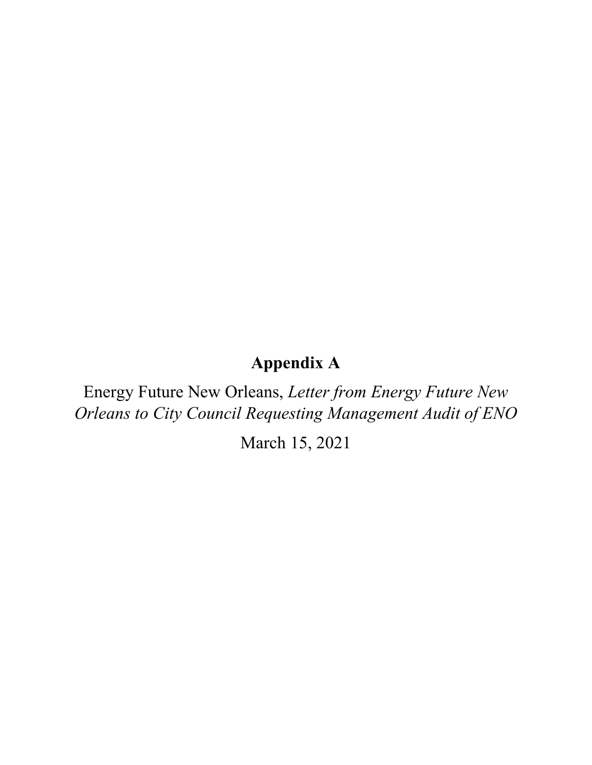# **Appendix A**

Energy Future New Orleans, *Letter from Energy Future New Orleans to City Council Requesting Management Audit of ENO*

March 15, 2021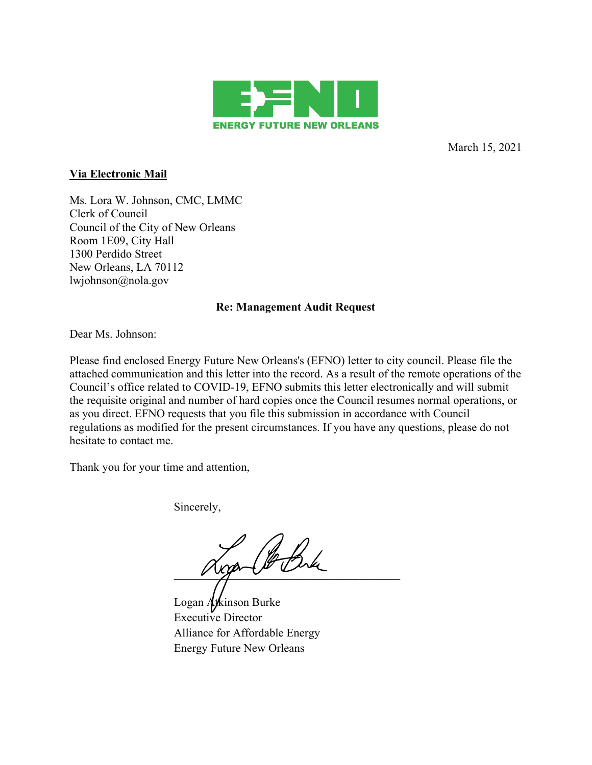

March 15, 2021

### **Via Electronic Mail**

Ms. Lora W. Johnson, CMC, LMMC Clerk of Council Council of the City of New Orleans Room 1E09, City Hall 1300 Perdido Street New Orleans, LA 70112 lwjohnson@nola.gov

### **Re: Management Audit Request**

Dear Ms. Johnson:

Please find enclosed Energy Future New Orleans's (EFNO) letter to city council. Please file the attached communication and this letter into the record. As a result of the remote operations of the Council's office related to COVID-19, EFNO submits this letter electronically and will submit the requisite original and number of hard copies once the Council resumes normal operations, or as you direct. EFNO requests that you file this submission in accordance with Council regulations as modified for the present circumstances. If you have any questions, please do not hesitate to contact me.

Thank you for your time and attention,

Sincerely,

 $\vee$  up  $\vee$   $\vee$ 

Logan Atkinson Burke Executive Director Alliance for Affordable Energy Energy Future New Orleans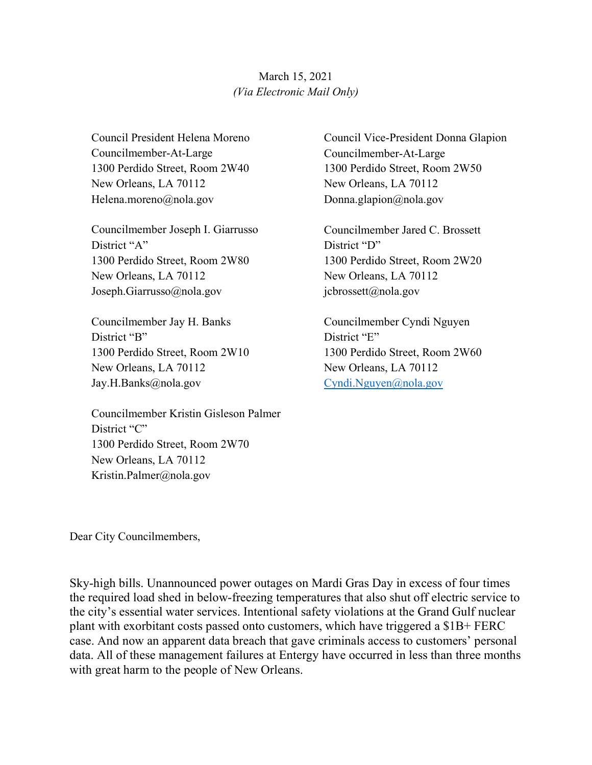# March 15, 2021 *(Via Electronic Mail Only)*

Council President Helena Moreno Councilmember-At-Large 1300 Perdido Street, Room 2W40 New Orleans, LA 70112 Helena.moreno@nola.gov

Councilmember Joseph I. Giarrusso District "A" 1300 Perdido Street, Room 2W80 New Orleans, LA 70112 Joseph.Giarrusso@nola.gov

Councilmember Jay H. Banks District "B" 1300 Perdido Street, Room 2W10 New Orleans, LA 70112 Jay.H.Banks@nola.gov

Councilmember Kristin Gisleson Palmer District "C" 1300 Perdido Street, Room 2W70 New Orleans, LA 70112 Kristin.Palmer@nola.gov

Council Vice-President Donna Glapion Councilmember-At-Large 1300 Perdido Street, Room 2W50 New Orleans, LA 70112 Donna.glapion@nola.gov

Councilmember Jared C. Brossett District "D" 1300 Perdido Street, Room 2W20 New Orleans, LA 70112 jcbrossett@nola.gov

Councilmember Cyndi Nguyen District "E" 1300 Perdido Street, Room 2W60 New Orleans, LA 70112 Cyndi.Nguyen@nola.gov

Dear City Councilmembers,

Sky-high bills. Unannounced power outages on Mardi Gras Day in excess of four times the required load shed in below-freezing temperatures that also shut off electric service to the city's essential water services. Intentional safety violations at the Grand Gulf nuclear plant with exorbitant costs passed onto customers, which have triggered a \$1B+ FERC case. And now an apparent data breach that gave criminals access to customers' personal data. All of these management failures at Entergy have occurred in less than three months with great harm to the people of New Orleans.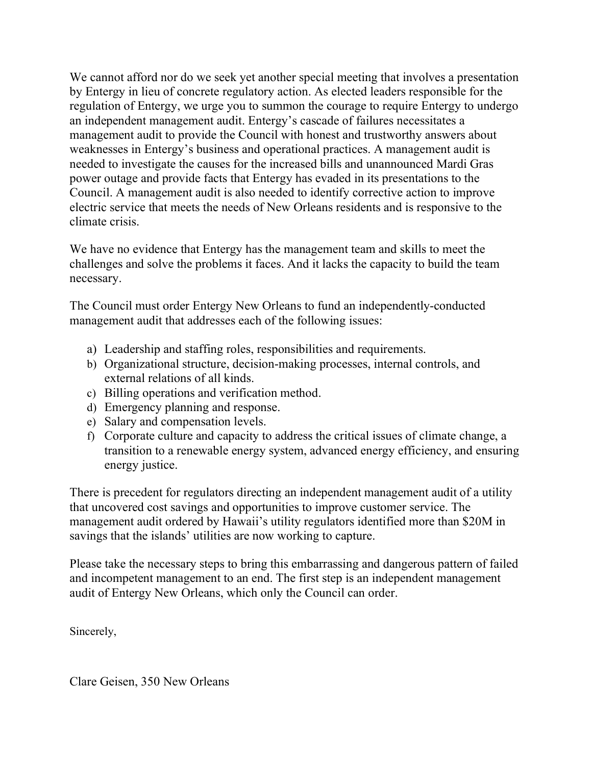We cannot afford nor do we seek yet another special meeting that involves a presentation by Entergy in lieu of concrete regulatory action. As elected leaders responsible for the regulation of Entergy, we urge you to summon the courage to require Entergy to undergo an independent management audit. Entergy's cascade of failures necessitates a management audit to provide the Council with honest and trustworthy answers about weaknesses in Entergy's business and operational practices. A management audit is needed to investigate the causes for the increased bills and unannounced Mardi Gras power outage and provide facts that Entergy has evaded in its presentations to the Council. A management audit is also needed to identify corrective action to improve electric service that meets the needs of New Orleans residents and is responsive to the climate crisis.

We have no evidence that Entergy has the management team and skills to meet the challenges and solve the problems it faces. And it lacks the capacity to build the team necessary.

The Council must order Entergy New Orleans to fund an independently-conducted management audit that addresses each of the following issues:

- a) Leadership and staffing roles, responsibilities and requirements.
- b) Organizational structure, decision-making processes, internal controls, and external relations of all kinds.
- c) Billing operations and verification method.
- d) Emergency planning and response.
- e) Salary and compensation levels.
- f) Corporate culture and capacity to address the critical issues of climate change, a transition to a renewable energy system, advanced energy efficiency, and ensuring energy justice.

There is precedent for regulators directing an independent management audit of a utility that uncovered cost savings and opportunities to improve customer service. The management audit ordered by Hawaii's utility regulators identified more than \$20M in savings that the islands' utilities are now working to capture.

Please take the necessary steps to bring this embarrassing and dangerous pattern of failed and incompetent management to an end. The first step is an independent management audit of Entergy New Orleans, which only the Council can order.

Sincerely,

Clare Geisen, 350 New Orleans